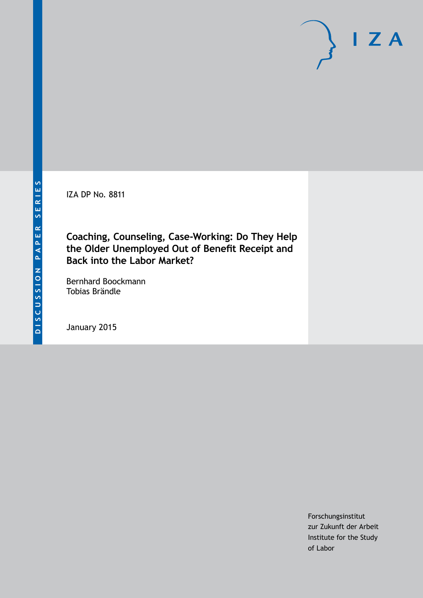IZA DP No. 8811

**Coaching, Counseling, Case-Working: Do They Help the Older Unemployed Out of Benefit Receipt and Back into the Labor Market?**

Bernhard Boockmann Tobias Brändle

January 2015

Forschungsinstitut zur Zukunft der Arbeit Institute for the Study of Labor

 $I Z A$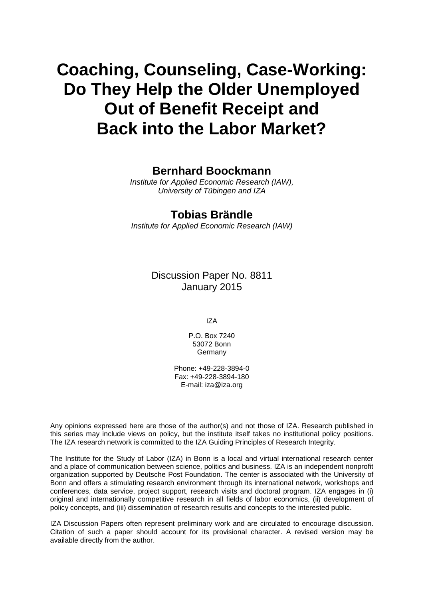# **Coaching, Counseling, Case-Working: Do They Help the Older Unemployed Out of Benefit Receipt and Back into the Labor Market?**

## **Bernhard Boockmann**

*Institute for Applied Economic Research (IAW), University of Tübingen and IZA*

## **Tobias Brändle**

*Institute for Applied Economic Research (IAW)*

Discussion Paper No. 8811 January 2015

IZA

P.O. Box 7240 53072 Bonn Germany

Phone: +49-228-3894-0 Fax: +49-228-3894-180 E-mail: [iza@iza.org](mailto:iza@iza.org)

Any opinions expressed here are those of the author(s) and not those of IZA. Research published in this series may include views on policy, but the institute itself takes no institutional policy positions. The IZA research network is committed to the IZA Guiding Principles of Research Integrity.

The Institute for the Study of Labor (IZA) in Bonn is a local and virtual international research center and a place of communication between science, politics and business. IZA is an independent nonprofit organization supported by Deutsche Post Foundation. The center is associated with the University of Bonn and offers a stimulating research environment through its international network, workshops and conferences, data service, project support, research visits and doctoral program. IZA engages in (i) original and internationally competitive research in all fields of labor economics, (ii) development of policy concepts, and (iii) dissemination of research results and concepts to the interested public.

<span id="page-1-0"></span>IZA Discussion Papers often represent preliminary work and are circulated to encourage discussion. Citation of such a paper should account for its provisional character. A revised version may be available directly from the author.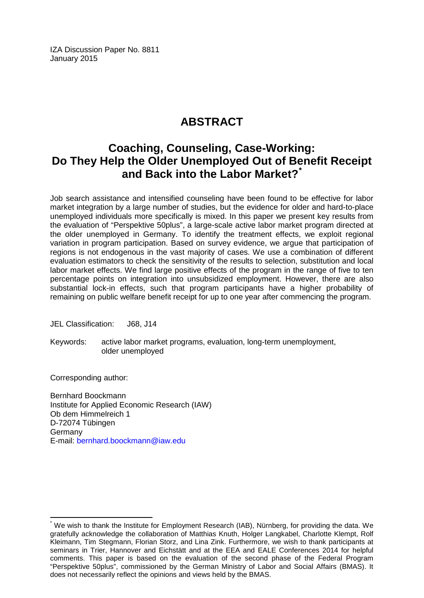IZA Discussion Paper No. 8811 January 2015

# **ABSTRACT**

# **Coaching, Counseling, Case-Working: Do They Help the Older Unemployed Out of Benefit Receipt and Back into the Labor Market?[\\*](#page-1-0)**

Job search assistance and intensified counseling have been found to be effective for labor market integration by a large number of studies, but the evidence for older and hard-to-place unemployed individuals more specifically is mixed. In this paper we present key results from the evaluation of "Perspektive 50plus", a large-scale active labor market program directed at the older unemployed in Germany. To identify the treatment effects, we exploit regional variation in program participation. Based on survey evidence, we argue that participation of regions is not endogenous in the vast majority of cases. We use a combination of different evaluation estimators to check the sensitivity of the results to selection, substitution and local labor market effects. We find large positive effects of the program in the range of five to ten percentage points on integration into unsubsidized employment. However, there are also substantial lock-in effects, such that program participants have a higher probability of remaining on public welfare benefit receipt for up to one year after commencing the program.

JEL Classification: J68, J14

Keywords: active labor market programs, evaluation, long-term unemployment, older unemployed

Corresponding author:

Bernhard Boockmann Institute for Applied Economic Research (IAW) Ob dem Himmelreich 1 D-72074 Tübingen Germany E-mail: [bernhard.boockmann@iaw.edu](mailto:bernhard.boockmann@iaw.edu)

We wish to thank the Institute for Employment Research (IAB), Nürnberg, for providing the data. We gratefully acknowledge the collaboration of Matthias Knuth, Holger Langkabel, Charlotte Klempt, Rolf Kleimann, Tim Stegmann, Florian Storz, and Lina Zink. Furthermore, we wish to thank participants at seminars in Trier, Hannover and Eichstätt and at the EEA and EALE Conferences 2014 for helpful comments. This paper is based on the evaluation of the second phase of the Federal Program "Perspektive 50plus", commissioned by the German Ministry of Labor and Social Affairs (BMAS). It does not necessarily reflect the opinions and views held by the BMAS.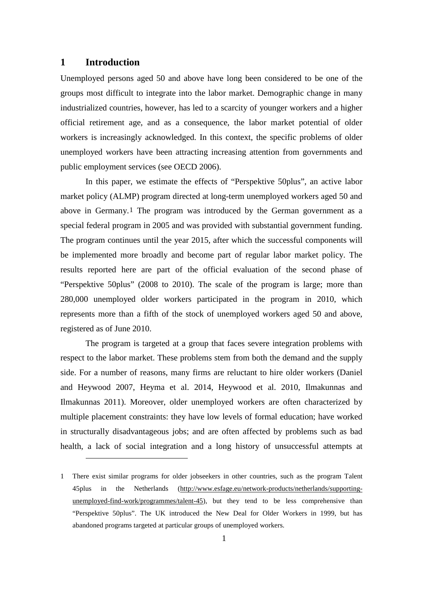### **1 Introduction**

 $\overline{a}$ 

Unemployed persons aged 50 and above have long been considered to be one of the groups most difficult to integrate into the labor market. Demographic change in many industrialized countries, however, has led to a scarcity of younger workers and a higher official retirement age, and as a consequence, the labor market potential of older workers is increasingly acknowledged. In this context, the specific problems of older unemployed workers have been attracting increasing attention from governments and public employment services (see OECD 2006).

In this paper, we estimate the effects of "Perspektive 50plus", an active labor market policy (ALMP) program directed at long-term unemployed workers aged 50 and above in Germany.[1](#page-3-0) The program was introduced by the German government as a special federal program in 2005 and was provided with substantial government funding. The program continues until the year 2015, after which the successful components will be implemented more broadly and become part of regular labor market policy. The results reported here are part of the official evaluation of the second phase of "Perspektive 50plus" (2008 to 2010). The scale of the program is large; more than 280,000 unemployed older workers participated in the program in 2010, which represents more than a fifth of the stock of unemployed workers aged 50 and above, registered as of June 2010.

The program is targeted at a group that faces severe integration problems with respect to the labor market. These problems stem from both the demand and the supply side. For a number of reasons, many firms are reluctant to hire older workers (Daniel and Heywood 2007, Heyma et al. 2014, Heywood et al. 2010, Ilmakunnas and Ilmakunnas 2011). Moreover, older unemployed workers are often characterized by multiple placement constraints: they have low levels of formal education; have worked in structurally disadvantageous jobs; and are often affected by problems such as bad health, a lack of social integration and a long history of unsuccessful attempts at

<span id="page-3-0"></span><sup>1</sup> There exist similar programs for older jobseekers in other countries, such as the program Talent 45plus in the Netherlands (http://www.esfage.eu/network-products/netherlands/supportingunemployed-find-work/programmes/talent-45), but they tend to be less comprehensive than "Perspektive 50plus". The UK introduced the New Deal for Older Workers in 1999, but has abandoned programs targeted at particular groups of unemployed workers.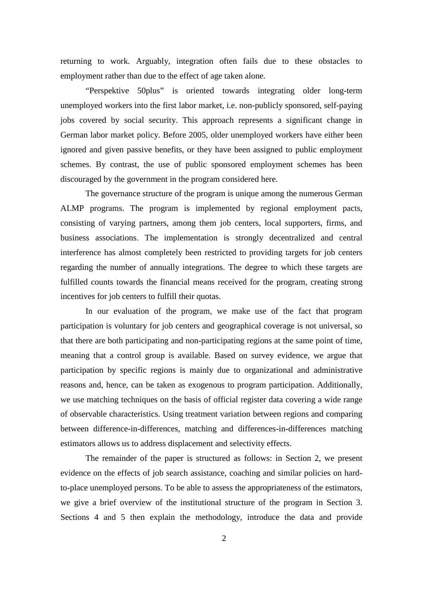returning to work. Arguably, integration often fails due to these obstacles to employment rather than due to the effect of age taken alone.

"Perspektive 50plus" is oriented towards integrating older long-term unemployed workers into the first labor market, i.e. non-publicly sponsored, self-paying jobs covered by social security. This approach represents a significant change in German labor market policy. Before 2005, older unemployed workers have either been ignored and given passive benefits, or they have been assigned to public employment schemes. By contrast, the use of public sponsored employment schemes has been discouraged by the government in the program considered here.

The governance structure of the program is unique among the numerous German ALMP programs. The program is implemented by regional employment pacts, consisting of varying partners, among them job centers, local supporters, firms, and business associations. The implementation is strongly decentralized and central interference has almost completely been restricted to providing targets for job centers regarding the number of annually integrations. The degree to which these targets are fulfilled counts towards the financial means received for the program, creating strong incentives for job centers to fulfill their quotas.

In our evaluation of the program, we make use of the fact that program participation is voluntary for job centers and geographical coverage is not universal, so that there are both participating and non-participating regions at the same point of time, meaning that a control group is available. Based on survey evidence, we argue that participation by specific regions is mainly due to organizational and administrative reasons and, hence, can be taken as exogenous to program participation. Additionally, we use matching techniques on the basis of official register data covering a wide range of observable characteristics. Using treatment variation between regions and comparing between difference-in-differences, matching and differences-in-differences matching estimators allows us to address displacement and selectivity effects.

The remainder of the paper is structured as follows: in Section 2, we present evidence on the effects of job search assistance, coaching and similar policies on hardto-place unemployed persons. To be able to assess the appropriateness of the estimators, we give a brief overview of the institutional structure of the program in Section 3. Sections 4 and 5 then explain the methodology, introduce the data and provide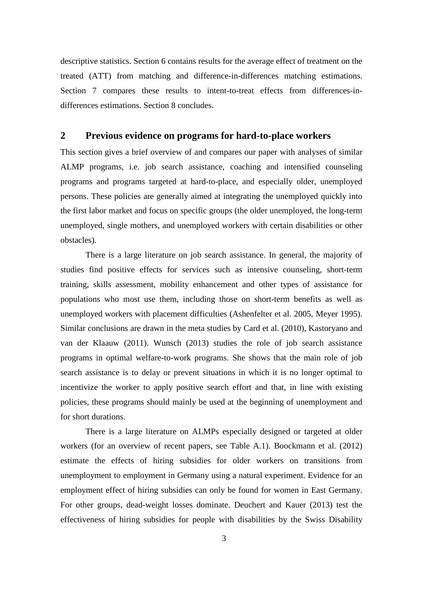descriptive statistics. Section 6 contains results for the average effect of treatment on the treated (ATT) from matching and difference-in-differences matching estimations. Section 7 compares these results to intent-to-treat effects from differences-indifferences estimations. Section 8 concludes.

### **2 Previous evidence on programs for hard-to-place workers**

This section gives a brief overview of and compares our paper with analyses of similar ALMP programs, i.e. job search assistance, coaching and intensified counseling programs and programs targeted at hard-to-place, and especially older, unemployed persons. These policies are generally aimed at integrating the unemployed quickly into the first labor market and focus on specific groups (the older unemployed, the long-term unemployed, single mothers, and unemployed workers with certain disabilities or other obstacles).

There is a large literature on job search assistance. In general, the majority of studies find positive effects for services such as intensive counseling, short-term training, skills assessment, mobility enhancement and other types of assistance for populations who most use them, including those on short-term benefits as well as unemployed workers with placement difficulties (Ashenfelter et al. 2005, Meyer 1995). Similar conclusions are drawn in the meta studies by Card et al. (2010), Kastoryano and van der Klaauw (2011). Wunsch (2013) studies the role of job search assistance programs in optimal welfare-to-work programs. She shows that the main role of job search assistance is to delay or prevent situations in which it is no longer optimal to incentivize the worker to apply positive search effort and that, in line with existing policies, these programs should mainly be used at the beginning of unemployment and for short durations.

There is a large literature on ALMPs especially designed or targeted at older workers (for an overview of recent papers, see Table A.1). Boockmann et al. (2012) estimate the effects of hiring subsidies for older workers on transitions from unemployment to employment in Germany using a natural experiment. Evidence for an employment effect of hiring subsidies can only be found for women in East Germany. For other groups, dead-weight losses dominate. Deuchert and Kauer (2013) test the effectiveness of hiring subsidies for people with disabilities by the Swiss Disability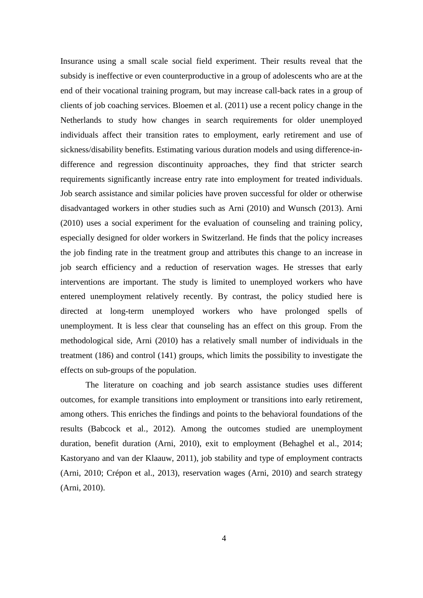Insurance using a small scale social field experiment. Their results reveal that the subsidy is ineffective or even counterproductive in a group of adolescents who are at the end of their vocational training program, but may increase call-back rates in a group of clients of job coaching services. Bloemen et al. (2011) use a recent policy change in the Netherlands to study how changes in search requirements for older unemployed individuals affect their transition rates to employment, early retirement and use of sickness/disability benefits. Estimating various duration models and using difference-indifference and regression discontinuity approaches, they find that stricter search requirements significantly increase entry rate into employment for treated individuals. Job search assistance and similar policies have proven successful for older or otherwise disadvantaged workers in other studies such as Arni (2010) and Wunsch (2013). Arni (2010) uses a social experiment for the evaluation of counseling and training policy, especially designed for older workers in Switzerland. He finds that the policy increases the job finding rate in the treatment group and attributes this change to an increase in job search efficiency and a reduction of reservation wages. He stresses that early interventions are important. The study is limited to unemployed workers who have entered unemployment relatively recently. By contrast, the policy studied here is directed at long-term unemployed workers who have prolonged spells of unemployment. It is less clear that counseling has an effect on this group. From the methodological side, Arni (2010) has a relatively small number of individuals in the treatment (186) and control (141) groups, which limits the possibility to investigate the effects on sub-groups of the population.

The literature on coaching and job search assistance studies uses different outcomes, for example transitions into employment or transitions into early retirement, among others. This enriches the findings and points to the behavioral foundations of the results (Babcock et al., 2012). Among the outcomes studied are unemployment duration, benefit duration (Arni, 2010), exit to employment (Behaghel et al., 2014; Kastoryano and van der Klaauw, 2011), job stability and type of employment contracts (Arni, 2010; Crépon et al., 2013), reservation wages (Arni, 2010) and search strategy (Arni, 2010).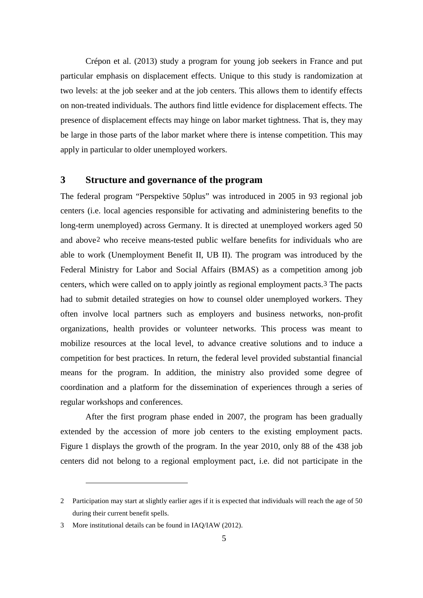Crépon et al. (2013) study a program for young job seekers in France and put particular emphasis on displacement effects. Unique to this study is randomization at two levels: at the job seeker and at the job centers. This allows them to identify effects on non-treated individuals. The authors find little evidence for displacement effects. The presence of displacement effects may hinge on labor market tightness. That is, they may be large in those parts of the labor market where there is intense competition. This may apply in particular to older unemployed workers.

#### **3 Structure and governance of the program**

The federal program "Perspektive 50plus" was introduced in 2005 in 93 regional job centers (i.e. local agencies responsible for activating and administering benefits to the long-term unemployed) across Germany. It is directed at unemployed workers aged 50 and above[2](#page-7-0) who receive means-tested public welfare benefits for individuals who are able to work (Unemployment Benefit II, UB II). The program was introduced by the Federal Ministry for Labor and Social Affairs (BMAS) as a competition among job centers, which were called on to apply jointly as regional employment pacts.[3](#page-7-1) The pacts had to submit detailed strategies on how to counsel older unemployed workers. They often involve local partners such as employers and business networks, non-profit organizations, health provides or volunteer networks. This process was meant to mobilize resources at the local level, to advance creative solutions and to induce a competition for best practices. In return, the federal level provided substantial financial means for the program. In addition, the ministry also provided some degree of coordination and a platform for the dissemination of experiences through a series of regular workshops and conferences.

After the first program phase ended in 2007, the program has been gradually extended by the accession of more job centers to the existing employment pacts. Figure 1 displays the growth of the program. In the year 2010, only 88 of the 438 job centers did not belong to a regional employment pact, i.e. did not participate in the

<span id="page-7-0"></span><sup>2</sup> Participation may start at slightly earlier ages if it is expected that individuals will reach the age of 50 during their current benefit spells.

<span id="page-7-1"></span><sup>3</sup> More institutional details can be found in IAQ/IAW (2012).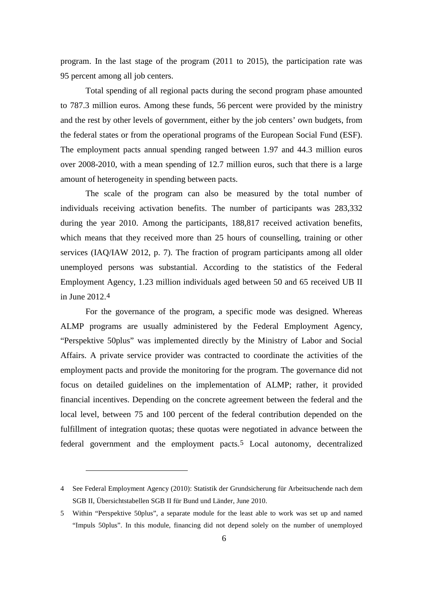program. In the last stage of the program (2011 to 2015), the participation rate was 95 percent among all job centers.

Total spending of all regional pacts during the second program phase amounted to 787.3 million euros. Among these funds, 56 percent were provided by the ministry and the rest by other levels of government, either by the job centers' own budgets, from the federal states or from the operational programs of the European Social Fund (ESF). The employment pacts annual spending ranged between 1.97 and 44.3 million euros over 2008-2010, with a mean spending of 12.7 million euros, such that there is a large amount of heterogeneity in spending between pacts.

The scale of the program can also be measured by the total number of individuals receiving activation benefits. The number of participants was 283,332 during the year 2010. Among the participants, 188,817 received activation benefits, which means that they received more than 25 hours of counselling, training or other services (IAQ/IAW 2012, p. 7). The fraction of program participants among all older unemployed persons was substantial. According to the statistics of the Federal Employment Agency, 1.23 million individuals aged between 50 and 65 received UB II in June 2012.[4](#page-8-0)

For the governance of the program, a specific mode was designed. Whereas ALMP programs are usually administered by the Federal Employment Agency, "Perspektive 50plus" was implemented directly by the Ministry of Labor and Social Affairs. A private service provider was contracted to coordinate the activities of the employment pacts and provide the monitoring for the program. The governance did not focus on detailed guidelines on the implementation of ALMP; rather, it provided financial incentives. Depending on the concrete agreement between the federal and the local level, between 75 and 100 percent of the federal contribution depended on the fulfillment of integration quotas; these quotas were negotiated in advance between the federal government and the employment pacts.[5](#page-8-1) Local autonomy, decentralized

<span id="page-8-0"></span><sup>4</sup> See Federal Employment Agency (2010): Statistik der Grundsicherung für Arbeitsuchende nach dem SGB II, Übersichtstabellen SGB II für Bund und Länder, June 2010.

<span id="page-8-1"></span><sup>5</sup> Within "Perspektive 50plus", a separate module for the least able to work was set up and named "Impuls 50plus". In this module, financing did not depend solely on the number of unemployed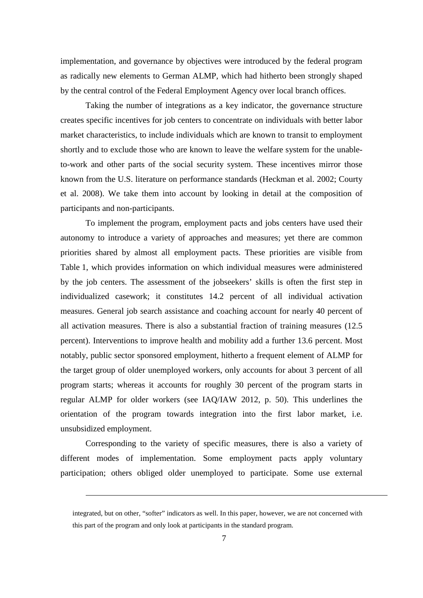implementation, and governance by objectives were introduced by the federal program as radically new elements to German ALMP, which had hitherto been strongly shaped by the central control of the Federal Employment Agency over local branch offices.

Taking the number of integrations as a key indicator, the governance structure creates specific incentives for job centers to concentrate on individuals with better labor market characteristics, to include individuals which are known to transit to employment shortly and to exclude those who are known to leave the welfare system for the unableto-work and other parts of the social security system. These incentives mirror those known from the U.S. literature on performance standards (Heckman et al. 2002; Courty et al. 2008). We take them into account by looking in detail at the composition of participants and non-participants.

To implement the program, employment pacts and jobs centers have used their autonomy to introduce a variety of approaches and measures; yet there are common priorities shared by almost all employment pacts. These priorities are visible from Table 1, which provides information on which individual measures were administered by the job centers. The assessment of the jobseekers' skills is often the first step in individualized casework; it constitutes 14.2 percent of all individual activation measures. General job search assistance and coaching account for nearly 40 percent of all activation measures. There is also a substantial fraction of training measures (12.5 percent). Interventions to improve health and mobility add a further 13.6 percent. Most notably, public sector sponsored employment, hitherto a frequent element of ALMP for the target group of older unemployed workers, only accounts for about 3 percent of all program starts; whereas it accounts for roughly 30 percent of the program starts in regular ALMP for older workers (see IAQ/IAW 2012, p. 50). This underlines the orientation of the program towards integration into the first labor market, i.e. unsubsidized employment.

Corresponding to the variety of specific measures, there is also a variety of different modes of implementation. Some employment pacts apply voluntary participation; others obliged older unemployed to participate. Some use external

integrated, but on other, "softer" indicators as well. In this paper, however, we are not concerned with this part of the program and only look at participants in the standard program.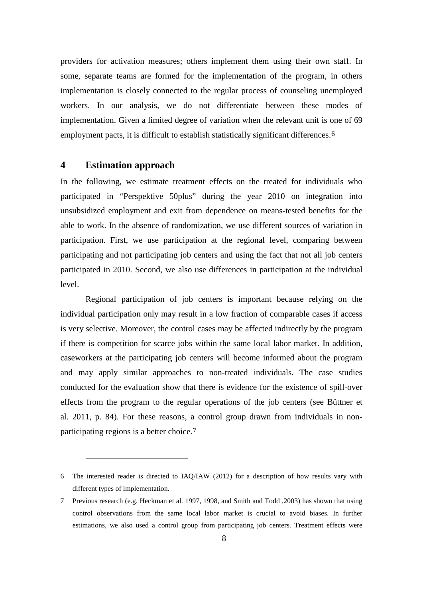providers for activation measures; others implement them using their own staff. In some, separate teams are formed for the implementation of the program, in others implementation is closely connected to the regular process of counseling unemployed workers. In our analysis, we do not differentiate between these modes of implementation. Given a limited degree of variation when the relevant unit is one of 69 employment pacts, it is difficult to establish statistically significant differences.[6](#page-10-0)

#### **4 Estimation approach**

 $\overline{a}$ 

In the following, we estimate treatment effects on the treated for individuals who participated in "Perspektive 50plus" during the year 2010 on integration into unsubsidized employment and exit from dependence on means-tested benefits for the able to work. In the absence of randomization, we use different sources of variation in participation. First, we use participation at the regional level, comparing between participating and not participating job centers and using the fact that not all job centers participated in 2010. Second, we also use differences in participation at the individual level.

Regional participation of job centers is important because relying on the individual participation only may result in a low fraction of comparable cases if access is very selective. Moreover, the control cases may be affected indirectly by the program if there is competition for scarce jobs within the same local labor market. In addition, caseworkers at the participating job centers will become informed about the program and may apply similar approaches to non-treated individuals. The case studies conducted for the evaluation show that there is evidence for the existence of spill-over effects from the program to the regular operations of the job centers (see Büttner et al. 2011, p. 84). For these reasons, a control group drawn from individuals in nonparticipating regions is a better choice.[7](#page-10-1)

<span id="page-10-0"></span><sup>6</sup> The interested reader is directed to IAQ/IAW (2012) for a description of how results vary with different types of implementation.

<span id="page-10-1"></span><sup>7</sup> Previous research (e.g. Heckman et al. 1997, 1998, and Smith and Todd ,2003) has shown that using control observations from the same local labor market is crucial to avoid biases. In further estimations, we also used a control group from participating job centers. Treatment effects were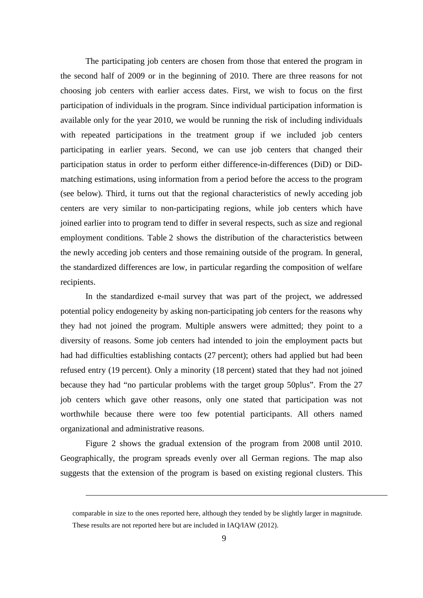The participating job centers are chosen from those that entered the program in the second half of 2009 or in the beginning of 2010. There are three reasons for not choosing job centers with earlier access dates. First, we wish to focus on the first participation of individuals in the program. Since individual participation information is available only for the year 2010, we would be running the risk of including individuals with repeated participations in the treatment group if we included job centers participating in earlier years. Second, we can use job centers that changed their participation status in order to perform either difference-in-differences (DiD) or DiDmatching estimations, using information from a period before the access to the program (see below). Third, it turns out that the regional characteristics of newly acceding job centers are very similar to non-participating regions, while job centers which have joined earlier into to program tend to differ in several respects, such as size and regional employment conditions. Table 2 shows the distribution of the characteristics between the newly acceding job centers and those remaining outside of the program. In general, the standardized differences are low, in particular regarding the composition of welfare recipients.

In the standardized e-mail survey that was part of the project, we addressed potential policy endogeneity by asking non-participating job centers for the reasons why they had not joined the program. Multiple answers were admitted; they point to a diversity of reasons. Some job centers had intended to join the employment pacts but had had difficulties establishing contacts (27 percent); others had applied but had been refused entry (19 percent). Only a minority (18 percent) stated that they had not joined because they had "no particular problems with the target group 50plus". From the 27 job centers which gave other reasons, only one stated that participation was not worthwhile because there were too few potential participants. All others named organizational and administrative reasons.

Figure 2 shows the gradual extension of the program from 2008 until 2010. Geographically, the program spreads evenly over all German regions. The map also suggests that the extension of the program is based on existing regional clusters. This

comparable in size to the ones reported here, although they tended by be slightly larger in magnitude. These results are not reported here but are included in IAQ/IAW (2012).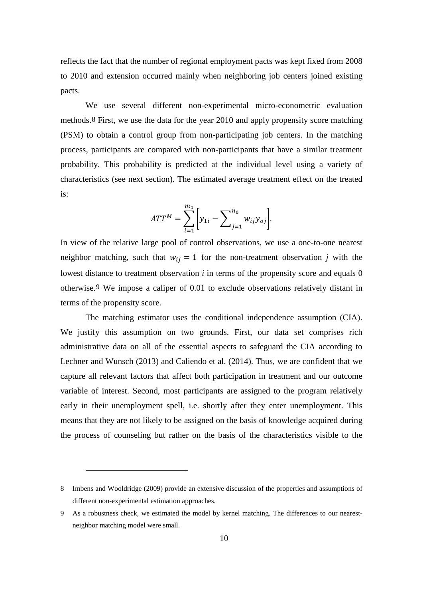reflects the fact that the number of regional employment pacts was kept fixed from 2008 to 2010 and extension occurred mainly when neighboring job centers joined existing pacts.

We use several different non-experimental micro-econometric evaluation methods.[8](#page-12-0) First, we use the data for the year 2010 and apply propensity score matching (PSM) to obtain a control group from non-participating job centers. In the matching process, participants are compared with non-participants that have a similar treatment probability. This probability is predicted at the individual level using a variety of characteristics (see next section). The estimated average treatment effect on the treated is:

$$
ATT^{M} = \sum_{i=1}^{m_{1}} \left[ y_{1i} - \sum_{j=1}^{n_{0}} w_{ij} y_{oj} \right].
$$

In view of the relative large pool of control observations, we use a one-to-one nearest neighbor matching, such that  $w_{ij} = 1$  for the non-treatment observation *j* with the lowest distance to treatment observation  $i$  in terms of the propensity score and equals 0 otherwise.[9](#page-12-1) We impose a caliper of 0.01 to exclude observations relatively distant in terms of the propensity score.

The matching estimator uses the conditional independence assumption (CIA). We justify this assumption on two grounds. First, our data set comprises rich administrative data on all of the essential aspects to safeguard the CIA according to Lechner and Wunsch (2013) and Caliendo et al. (2014). Thus, we are confident that we capture all relevant factors that affect both participation in treatment and our outcome variable of interest. Second, most participants are assigned to the program relatively early in their unemployment spell, i.e. shortly after they enter unemployment. This means that they are not likely to be assigned on the basis of knowledge acquired during the process of counseling but rather on the basis of the characteristics visible to the

<span id="page-12-0"></span><sup>8</sup> Imbens and Wooldridge (2009) provide an extensive discussion of the properties and assumptions of different non-experimental estimation approaches.

<span id="page-12-1"></span><sup>9</sup> As a robustness check, we estimated the model by kernel matching. The differences to our nearestneighbor matching model were small.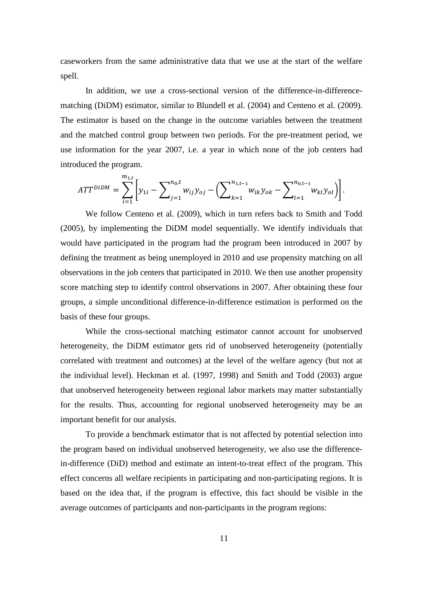caseworkers from the same administrative data that we use at the start of the welfare spell.

In addition, we use a cross-sectional version of the difference-in-differencematching (DiDM) estimator, similar to Blundell et al. (2004) and Centeno et al. (2009). The estimator is based on the change in the outcome variables between the treatment and the matched control group between two periods. For the pre-treatment period, we use information for the year 2007, i.e. a year in which none of the job centers had introduced the program.

$$
ATT^{D iDM} = \sum_{i=1}^{m_{1,t}} \left[ y_{1i} - \sum_{j=1}^{n_0, t} w_{ij} y_{oj} - \left( \sum_{k=1}^{n_{1,t-1}} w_{ik} y_{ok} - \sum_{l=1}^{n_{0,t-1}} w_{kl} y_{ol} \right) \right].
$$

We follow Centeno et al. (2009), which in turn refers back to Smith and Todd (2005), by implementing the DiDM model sequentially. We identify individuals that would have participated in the program had the program been introduced in 2007 by defining the treatment as being unemployed in 2010 and use propensity matching on all observations in the job centers that participated in 2010. We then use another propensity score matching step to identify control observations in 2007. After obtaining these four groups, a simple unconditional difference-in-difference estimation is performed on the basis of these four groups.

While the cross-sectional matching estimator cannot account for unobserved heterogeneity, the DiDM estimator gets rid of unobserved heterogeneity (potentially correlated with treatment and outcomes) at the level of the welfare agency (but not at the individual level). Heckman et al. (1997, 1998) and Smith and Todd (2003) argue that unobserved heterogeneity between regional labor markets may matter substantially for the results. Thus, accounting for regional unobserved heterogeneity may be an important benefit for our analysis.

To provide a benchmark estimator that is not affected by potential selection into the program based on individual unobserved heterogeneity, we also use the differencein-difference (DiD) method and estimate an intent-to-treat effect of the program. This effect concerns all welfare recipients in participating and non-participating regions. It is based on the idea that, if the program is effective, this fact should be visible in the average outcomes of participants and non-participants in the program regions: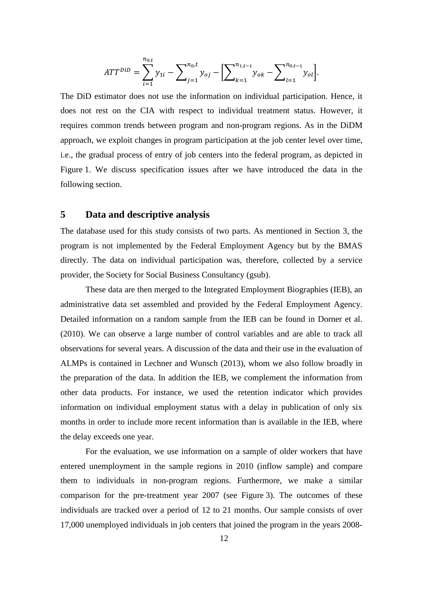$$
ATT^{DiD} = \sum_{i=1}^{n_{0,t}} y_{1i} - \sum_{j=1}^{n_{0,t}} y_{0j} - \left[ \sum_{k=1}^{n_{1,t-1}} y_{0k} - \sum_{l=1}^{n_{0,t-1}} y_{0l} \right].
$$

The DiD estimator does not use the information on individual participation. Hence, it does not rest on the CIA with respect to individual treatment status. However, it requires common trends between program and non-program regions. As in the DiDM approach, we exploit changes in program participation at the job center level over time, i.e., the gradual process of entry of job centers into the federal program, as depicted in Figure 1. We discuss specification issues after we have introduced the data in the following section.

### **5 Data and descriptive analysis**

The database used for this study consists of two parts. As mentioned in Section 3, the program is not implemented by the Federal Employment Agency but by the BMAS directly. The data on individual participation was, therefore, collected by a service provider, the Society for Social Business Consultancy (gsub).

These data are then merged to the Integrated Employment Biographies (IEB), an administrative data set assembled and provided by the Federal Employment Agency. Detailed information on a random sample from the IEB can be found in Dorner et al. (2010). We can observe a large number of control variables and are able to track all observations for several years. A discussion of the data and their use in the evaluation of ALMPs is contained in Lechner and Wunsch (2013), whom we also follow broadly in the preparation of the data. In addition the IEB, we complement the information from other data products. For instance, we used the retention indicator which provides information on individual employment status with a delay in publication of only six months in order to include more recent information than is available in the IEB, where the delay exceeds one year.

For the evaluation, we use information on a sample of older workers that have entered unemployment in the sample regions in 2010 (inflow sample) and compare them to individuals in non-program regions. Furthermore, we make a similar comparison for the pre-treatment year 2007 (see Figure 3). The outcomes of these individuals are tracked over a period of 12 to 21 months. Our sample consists of over 17,000 unemployed individuals in job centers that joined the program in the years 2008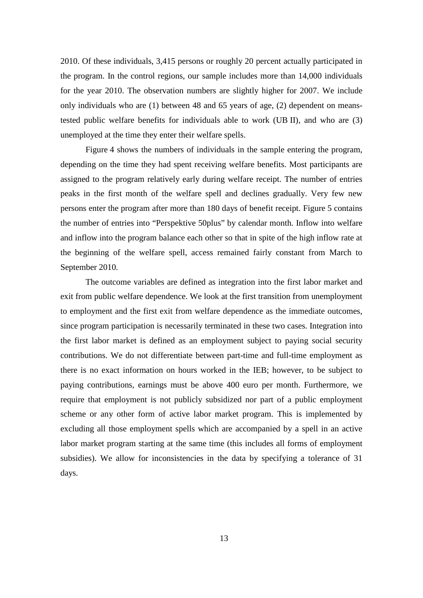2010. Of these individuals, 3,415 persons or roughly 20 percent actually participated in the program. In the control regions, our sample includes more than 14,000 individuals for the year 2010. The observation numbers are slightly higher for 2007. We include only individuals who are (1) between 48 and 65 years of age, (2) dependent on meanstested public welfare benefits for individuals able to work (UB II), and who are (3) unemployed at the time they enter their welfare spells.

Figure 4 shows the numbers of individuals in the sample entering the program, depending on the time they had spent receiving welfare benefits. Most participants are assigned to the program relatively early during welfare receipt. The number of entries peaks in the first month of the welfare spell and declines gradually. Very few new persons enter the program after more than 180 days of benefit receipt. Figure 5 contains the number of entries into "Perspektive 50plus" by calendar month. Inflow into welfare and inflow into the program balance each other so that in spite of the high inflow rate at the beginning of the welfare spell, access remained fairly constant from March to September 2010.

The outcome variables are defined as integration into the first labor market and exit from public welfare dependence. We look at the first transition from unemployment to employment and the first exit from welfare dependence as the immediate outcomes, since program participation is necessarily terminated in these two cases. Integration into the first labor market is defined as an employment subject to paying social security contributions. We do not differentiate between part-time and full-time employment as there is no exact information on hours worked in the IEB; however, to be subject to paying contributions, earnings must be above 400 euro per month. Furthermore, we require that employment is not publicly subsidized nor part of a public employment scheme or any other form of active labor market program. This is implemented by excluding all those employment spells which are accompanied by a spell in an active labor market program starting at the same time (this includes all forms of employment subsidies). We allow for inconsistencies in the data by specifying a tolerance of 31 days.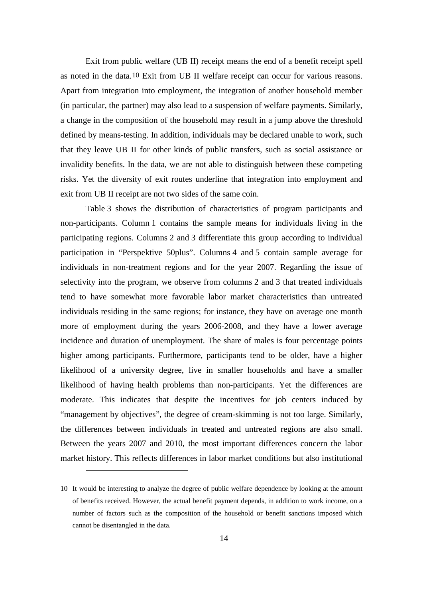Exit from public welfare (UB II) receipt means the end of a benefit receipt spell as noted in the data.[10](#page-16-0) Exit from UB II welfare receipt can occur for various reasons. Apart from integration into employment, the integration of another household member (in particular, the partner) may also lead to a suspension of welfare payments. Similarly, a change in the composition of the household may result in a jump above the threshold defined by means-testing. In addition, individuals may be declared unable to work, such that they leave UB II for other kinds of public transfers, such as social assistance or invalidity benefits. In the data, we are not able to distinguish between these competing risks. Yet the diversity of exit routes underline that integration into employment and exit from UB II receipt are not two sides of the same coin.

Table 3 shows the distribution of characteristics of program participants and non-participants. Column 1 contains the sample means for individuals living in the participating regions. Columns 2 and 3 differentiate this group according to individual participation in "Perspektive 50plus". Columns 4 and 5 contain sample average for individuals in non-treatment regions and for the year 2007. Regarding the issue of selectivity into the program, we observe from columns 2 and 3 that treated individuals tend to have somewhat more favorable labor market characteristics than untreated individuals residing in the same regions; for instance, they have on average one month more of employment during the years 2006-2008, and they have a lower average incidence and duration of unemployment. The share of males is four percentage points higher among participants. Furthermore, participants tend to be older, have a higher likelihood of a university degree, live in smaller households and have a smaller likelihood of having health problems than non-participants. Yet the differences are moderate. This indicates that despite the incentives for job centers induced by "management by objectives", the degree of cream-skimming is not too large. Similarly, the differences between individuals in treated and untreated regions are also small. Between the years 2007 and 2010, the most important differences concern the labor market history. This reflects differences in labor market conditions but also institutional

<span id="page-16-0"></span><sup>10</sup> It would be interesting to analyze the degree of public welfare dependence by looking at the amount of benefits received. However, the actual benefit payment depends, in addition to work income, on a number of factors such as the composition of the household or benefit sanctions imposed which cannot be disentangled in the data.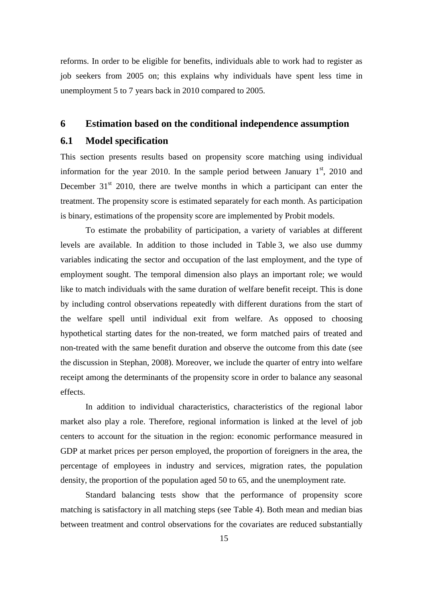reforms. In order to be eligible for benefits, individuals able to work had to register as job seekers from 2005 on; this explains why individuals have spent less time in unemployment 5 to 7 years back in 2010 compared to 2005.

### **6 Estimation based on the conditional independence assumption**

## **6.1 Model specification**

This section presents results based on propensity score matching using individual information for the year 2010. In the sample period between January  $1<sup>st</sup>$ , 2010 and December  $31<sup>st</sup>$  2010, there are twelve months in which a participant can enter the treatment. The propensity score is estimated separately for each month. As participation is binary, estimations of the propensity score are implemented by Probit models.

To estimate the probability of participation, a variety of variables at different levels are available. In addition to those included in Table 3, we also use dummy variables indicating the sector and occupation of the last employment, and the type of employment sought. The temporal dimension also plays an important role; we would like to match individuals with the same duration of welfare benefit receipt. This is done by including control observations repeatedly with different durations from the start of the welfare spell until individual exit from welfare. As opposed to choosing hypothetical starting dates for the non-treated, we form matched pairs of treated and non-treated with the same benefit duration and observe the outcome from this date (see the discussion in Stephan, 2008). Moreover, we include the quarter of entry into welfare receipt among the determinants of the propensity score in order to balance any seasonal effects.

In addition to individual characteristics, characteristics of the regional labor market also play a role. Therefore, regional information is linked at the level of job centers to account for the situation in the region: economic performance measured in GDP at market prices per person employed, the proportion of foreigners in the area, the percentage of employees in industry and services, migration rates, the population density, the proportion of the population aged 50 to 65, and the unemployment rate.

Standard balancing tests show that the performance of propensity score matching is satisfactory in all matching steps (see Table 4). Both mean and median bias between treatment and control observations for the covariates are reduced substantially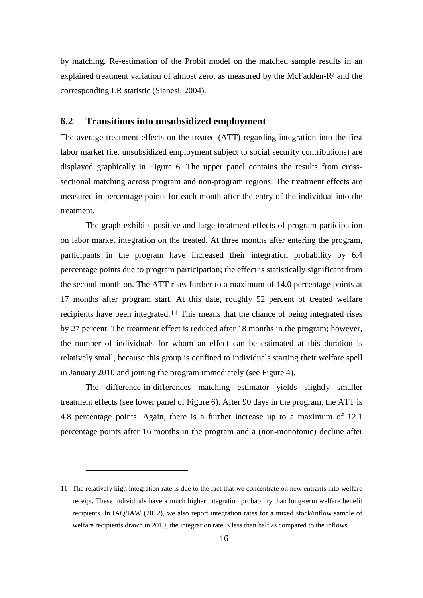by matching. Re-estimation of the Probit model on the matched sample results in an explained treatment variation of almost zero, as measured by the McFadden-R² and the corresponding LR statistic (Sianesi, 2004).

## **6.2 Transitions into unsubsidized employment**

The average treatment effects on the treated (ATT) regarding integration into the first labor market (i.e. unsubsidized employment subject to social security contributions) are displayed graphically in Figure 6. The upper panel contains the results from crosssectional matching across program and non-program regions. The treatment effects are measured in percentage points for each month after the entry of the individual into the treatment.

The graph exhibits positive and large treatment effects of program participation on labor market integration on the treated. At three months after entering the program, participants in the program have increased their integration probability by 6.4 percentage points due to program participation; the effect is statistically significant from the second month on. The ATT rises further to a maximum of 14.0 percentage points at 17 months after program start. At this date, roughly 52 percent of treated welfare recipients have been integrated.[11](#page-18-0) This means that the chance of being integrated rises by 27 percent. The treatment effect is reduced after 18 months in the program; however, the number of individuals for whom an effect can be estimated at this duration is relatively small, because this group is confined to individuals starting their welfare spell in January 2010 and joining the program immediately (see Figure 4).

The difference-in-differences matching estimator yields slightly smaller treatment effects (see lower panel of Figure 6). After 90 days in the program, the ATT is 4.8 percentage points. Again, there is a further increase up to a maximum of 12.1 percentage points after 16 months in the program and a (non-monotonic) decline after

<span id="page-18-0"></span><sup>11</sup> The relatively high integration rate is due to the fact that we concentrate on new entrants into welfare receipt. These individuals have a much higher integration probability than long-term welfare benefit recipients. In IAQ/IAW (2012), we also report integration rates for a mixed stock/inflow sample of welfare recipients drawn in 2010; the integration rate is less than half as compared to the inflows.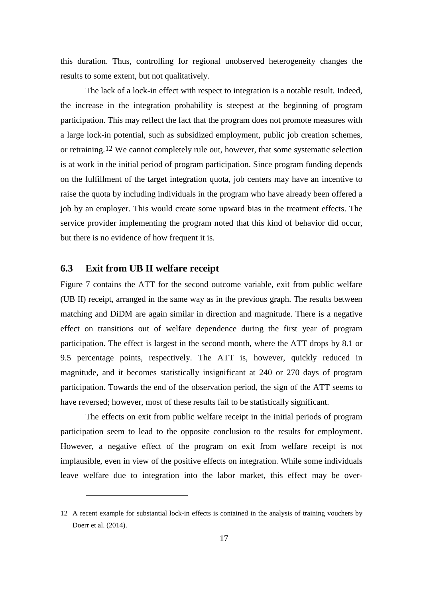this duration. Thus, controlling for regional unobserved heterogeneity changes the results to some extent, but not qualitatively.

The lack of a lock-in effect with respect to integration is a notable result. Indeed, the increase in the integration probability is steepest at the beginning of program participation. This may reflect the fact that the program does not promote measures with a large lock-in potential, such as subsidized employment, public job creation schemes, or retraining.[12](#page-19-0) We cannot completely rule out, however, that some systematic selection is at work in the initial period of program participation. Since program funding depends on the fulfillment of the target integration quota, job centers may have an incentive to raise the quota by including individuals in the program who have already been offered a job by an employer. This would create some upward bias in the treatment effects. The service provider implementing the program noted that this kind of behavior did occur, but there is no evidence of how frequent it is.

## **6.3 Exit from UB II welfare receipt**

 $\overline{a}$ 

Figure 7 contains the ATT for the second outcome variable, exit from public welfare (UB II) receipt, arranged in the same way as in the previous graph. The results between matching and DiDM are again similar in direction and magnitude. There is a negative effect on transitions out of welfare dependence during the first year of program participation. The effect is largest in the second month, where the ATT drops by 8.1 or 9.5 percentage points, respectively. The ATT is, however, quickly reduced in magnitude, and it becomes statistically insignificant at 240 or 270 days of program participation. Towards the end of the observation period, the sign of the ATT seems to have reversed; however, most of these results fail to be statistically significant.

The effects on exit from public welfare receipt in the initial periods of program participation seem to lead to the opposite conclusion to the results for employment. However, a negative effect of the program on exit from welfare receipt is not implausible, even in view of the positive effects on integration. While some individuals leave welfare due to integration into the labor market, this effect may be over-

<span id="page-19-0"></span><sup>12</sup> A recent example for substantial lock-in effects is contained in the analysis of training vouchers by Doerr et al. (2014).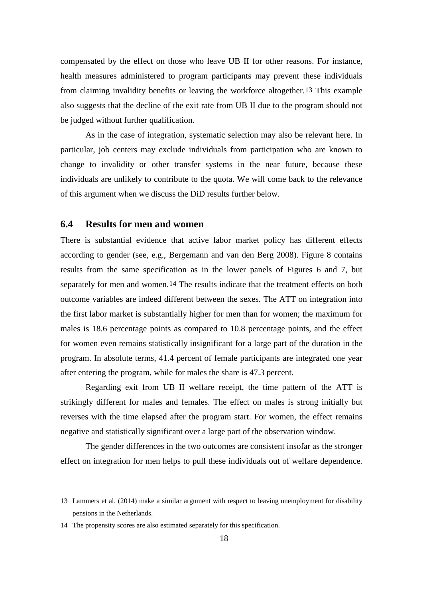compensated by the effect on those who leave UB II for other reasons. For instance, health measures administered to program participants may prevent these individuals from claiming invalidity benefits or leaving the workforce altogether.[13](#page-20-0) This example also suggests that the decline of the exit rate from UB II due to the program should not be judged without further qualification.

As in the case of integration, systematic selection may also be relevant here. In particular, job centers may exclude individuals from participation who are known to change to invalidity or other transfer systems in the near future, because these individuals are unlikely to contribute to the quota. We will come back to the relevance of this argument when we discuss the DiD results further below.

## **6.4 Results for men and women**

There is substantial evidence that active labor market policy has different effects according to gender (see, e.g., Bergemann and van den Berg 2008). Figure 8 contains results from the same specification as in the lower panels of Figures 6 and 7, but separately for men and women.[14](#page-20-1) The results indicate that the treatment effects on both outcome variables are indeed different between the sexes. The ATT on integration into the first labor market is substantially higher for men than for women; the maximum for males is 18.6 percentage points as compared to 10.8 percentage points, and the effect for women even remains statistically insignificant for a large part of the duration in the program. In absolute terms, 41.4 percent of female participants are integrated one year after entering the program, while for males the share is 47.3 percent.

Regarding exit from UB II welfare receipt, the time pattern of the ATT is strikingly different for males and females. The effect on males is strong initially but reverses with the time elapsed after the program start. For women, the effect remains negative and statistically significant over a large part of the observation window.

The gender differences in the two outcomes are consistent insofar as the stronger effect on integration for men helps to pull these individuals out of welfare dependence.

<span id="page-20-0"></span><sup>13</sup> Lammers et al. (2014) make a similar argument with respect to leaving unemployment for disability pensions in the Netherlands.

<span id="page-20-1"></span><sup>14</sup> The propensity scores are also estimated separately for this specification.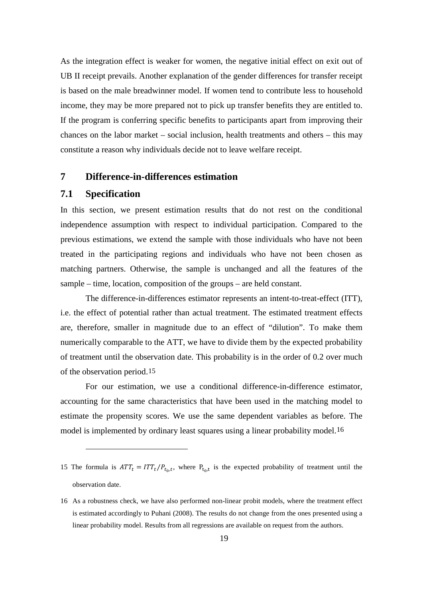As the integration effect is weaker for women, the negative initial effect on exit out of UB II receipt prevails. Another explanation of the gender differences for transfer receipt is based on the male breadwinner model. If women tend to contribute less to household income, they may be more prepared not to pick up transfer benefits they are entitled to. If the program is conferring specific benefits to participants apart from improving their chances on the labor market – social inclusion, health treatments and others – this may constitute a reason why individuals decide not to leave welfare receipt.

#### **7 Difference-in-differences estimation**

#### **7.1 Specification**

 $\overline{a}$ 

In this section, we present estimation results that do not rest on the conditional independence assumption with respect to individual participation. Compared to the previous estimations, we extend the sample with those individuals who have not been treated in the participating regions and individuals who have not been chosen as matching partners. Otherwise, the sample is unchanged and all the features of the sample – time, location, composition of the groups – are held constant.

The difference-in-differences estimator represents an intent-to-treat-effect (ITT), i.e. the effect of potential rather than actual treatment. The estimated treatment effects are, therefore, smaller in magnitude due to an effect of "dilution". To make them numerically comparable to the ATT, we have to divide them by the expected probability of treatment until the observation date. This probability is in the order of 0.2 over much of the observation period.[15](#page-21-0)

For our estimation, we use a conditional difference-in-difference estimator, accounting for the same characteristics that have been used in the matching model to estimate the propensity scores. We use the same dependent variables as before. The model is implemented by ordinary least squares using a linear probability model.[16](#page-21-1)

<span id="page-21-0"></span>15 The formula is  $ATT_t = ITT_t/P_{t_0,t}$ , where  $P_{t_0,t}$  is the expected probability of treatment until the observation date.

<span id="page-21-1"></span><sup>16</sup> As a robustness check, we have also performed non-linear probit models, where the treatment effect is estimated accordingly to Puhani (2008). The results do not change from the ones presented using a linear probability model. Results from all regressions are available on request from the authors.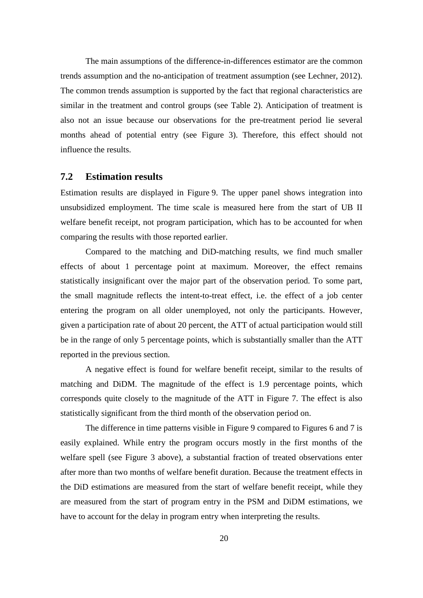The main assumptions of the difference-in-differences estimator are the common trends assumption and the no-anticipation of treatment assumption (see Lechner, 2012). The common trends assumption is supported by the fact that regional characteristics are similar in the treatment and control groups (see Table 2). Anticipation of treatment is also not an issue because our observations for the pre-treatment period lie several months ahead of potential entry (see Figure 3). Therefore, this effect should not influence the results.

#### **7.2 Estimation results**

Estimation results are displayed in Figure 9. The upper panel shows integration into unsubsidized employment. The time scale is measured here from the start of UB II welfare benefit receipt, not program participation, which has to be accounted for when comparing the results with those reported earlier.

Compared to the matching and DiD-matching results, we find much smaller effects of about 1 percentage point at maximum. Moreover, the effect remains statistically insignificant over the major part of the observation period. To some part, the small magnitude reflects the intent-to-treat effect, i.e. the effect of a job center entering the program on all older unemployed, not only the participants. However, given a participation rate of about 20 percent, the ATT of actual participation would still be in the range of only 5 percentage points, which is substantially smaller than the ATT reported in the previous section.

A negative effect is found for welfare benefit receipt, similar to the results of matching and DiDM. The magnitude of the effect is 1.9 percentage points, which corresponds quite closely to the magnitude of the ATT in Figure 7. The effect is also statistically significant from the third month of the observation period on.

The difference in time patterns visible in Figure 9 compared to Figures 6 and 7 is easily explained. While entry the program occurs mostly in the first months of the welfare spell (see Figure 3 above), a substantial fraction of treated observations enter after more than two months of welfare benefit duration. Because the treatment effects in the DiD estimations are measured from the start of welfare benefit receipt, while they are measured from the start of program entry in the PSM and DiDM estimations, we have to account for the delay in program entry when interpreting the results.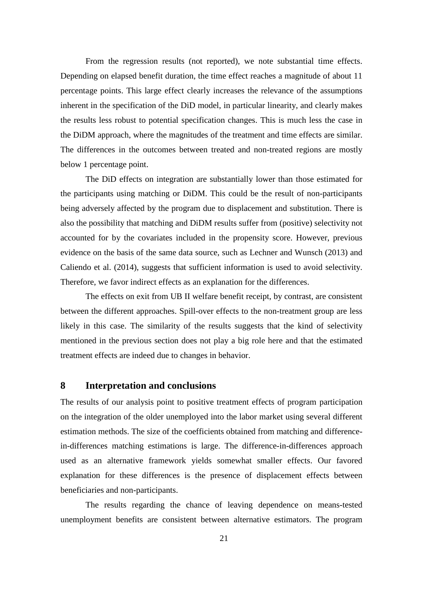From the regression results (not reported), we note substantial time effects. Depending on elapsed benefit duration, the time effect reaches a magnitude of about 11 percentage points. This large effect clearly increases the relevance of the assumptions inherent in the specification of the DiD model, in particular linearity, and clearly makes the results less robust to potential specification changes. This is much less the case in the DiDM approach, where the magnitudes of the treatment and time effects are similar. The differences in the outcomes between treated and non-treated regions are mostly below 1 percentage point.

The DiD effects on integration are substantially lower than those estimated for the participants using matching or DiDM. This could be the result of non-participants being adversely affected by the program due to displacement and substitution. There is also the possibility that matching and DiDM results suffer from (positive) selectivity not accounted for by the covariates included in the propensity score. However, previous evidence on the basis of the same data source, such as Lechner and Wunsch (2013) and Caliendo et al. (2014), suggests that sufficient information is used to avoid selectivity. Therefore, we favor indirect effects as an explanation for the differences.

The effects on exit from UB II welfare benefit receipt, by contrast, are consistent between the different approaches. Spill-over effects to the non-treatment group are less likely in this case. The similarity of the results suggests that the kind of selectivity mentioned in the previous section does not play a big role here and that the estimated treatment effects are indeed due to changes in behavior.

## **8 Interpretation and conclusions**

The results of our analysis point to positive treatment effects of program participation on the integration of the older unemployed into the labor market using several different estimation methods. The size of the coefficients obtained from matching and differencein-differences matching estimations is large. The difference-in-differences approach used as an alternative framework yields somewhat smaller effects. Our favored explanation for these differences is the presence of displacement effects between beneficiaries and non-participants.

The results regarding the chance of leaving dependence on means-tested unemployment benefits are consistent between alternative estimators. The program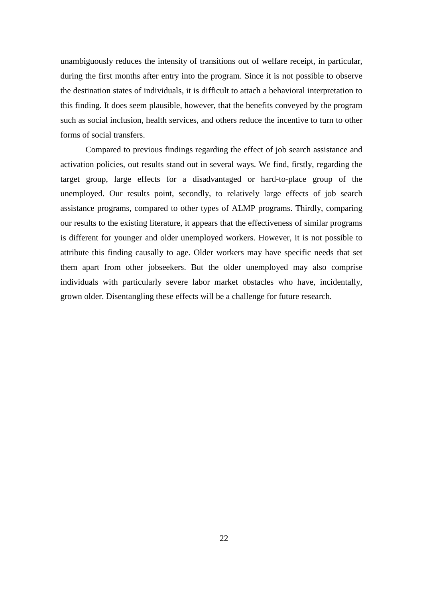unambiguously reduces the intensity of transitions out of welfare receipt, in particular, during the first months after entry into the program. Since it is not possible to observe the destination states of individuals, it is difficult to attach a behavioral interpretation to this finding. It does seem plausible, however, that the benefits conveyed by the program such as social inclusion, health services, and others reduce the incentive to turn to other forms of social transfers.

Compared to previous findings regarding the effect of job search assistance and activation policies, out results stand out in several ways. We find, firstly, regarding the target group, large effects for a disadvantaged or hard-to-place group of the unemployed. Our results point, secondly, to relatively large effects of job search assistance programs, compared to other types of ALMP programs. Thirdly, comparing our results to the existing literature, it appears that the effectiveness of similar programs is different for younger and older unemployed workers. However, it is not possible to attribute this finding causally to age. Older workers may have specific needs that set them apart from other jobseekers. But the older unemployed may also comprise individuals with particularly severe labor market obstacles who have, incidentally, grown older. Disentangling these effects will be a challenge for future research.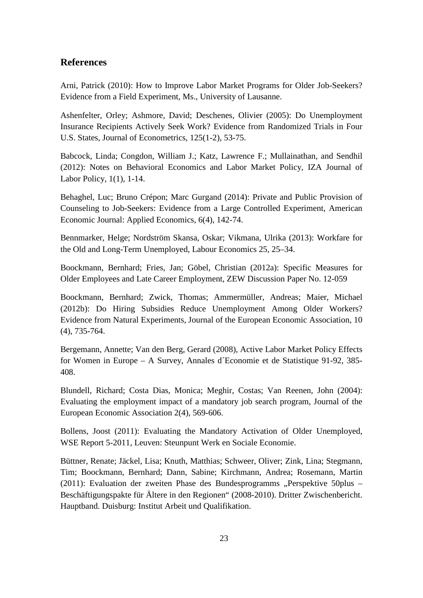## **References**

Arni, Patrick (2010): How to Improve Labor Market Programs for Older Job-Seekers? Evidence from a Field Experiment, Ms., University of Lausanne.

Ashenfelter, Orley; Ashmore, David; Deschenes, Olivier (2005): Do Unemployment Insurance Recipients Actively Seek Work? Evidence from Randomized Trials in Four U.S. States, Journal of Econometrics, 125(1-2), 53-75.

Babcock, Linda; Congdon, William J.; Katz, Lawrence F.; Mullainathan, and Sendhil (2012): Notes on Behavioral Economics and Labor Market Policy, IZA Journal of Labor Policy, 1(1), 1-14.

Behaghel, Luc; Bruno Crépon; Marc Gurgand (2014): Private and Public Provision of Counseling to Job-Seekers: Evidence from a Large Controlled Experiment, American Economic Journal: Applied Economics, 6(4), 142-74.

Bennmarker, Helge; Nordström Skansa, Oskar; Vikmana, Ulrika (2013): Workfare for the Old and Long-Term Unemployed, Labour Economics 25, 25–34.

Boockmann, Bernhard; Fries, Jan; Göbel, Christian (2012a): Specific Measures for Older Employees and Late Career Employment, ZEW Discussion Paper No. 12-059

Boockmann, Bernhard; Zwick, Thomas; Ammermüller, Andreas; Maier, Michael (2012b): Do Hiring Subsidies Reduce Unemployment Among Older Workers? Evidence from Natural Experiments, Journal of the European Economic Association, 10 (4), 735-764.

Bergemann, Annette; Van den Berg, Gerard (2008), Active Labor Market Policy Effects for Women in Europe – A Survey, Annales d´Economie et de Statistique 91-92, 385- 408.

Blundell, Richard; Costa Dias, Monica; Meghir, Costas; Van Reenen, John (2004): Evaluating the employment impact of a mandatory job search program, Journal of the European Economic Association 2(4), 569-606.

Bollens, Joost (2011): Evaluating the Mandatory Activation of Older Unemployed, WSE Report 5-2011, Leuven: Steunpunt Werk en Sociale Economie.

Büttner, Renate; Jäckel, Lisa; Knuth, Matthias; Schweer, Oliver; Zink, Lina; Stegmann, Tim; Boockmann, Bernhard; Dann, Sabine; Kirchmann, Andrea; Rosemann, Martin (2011): Evaluation der zweiten Phase des Bundesprogramms "Perspektive 50plus – Beschäftigungspakte für Ältere in den Regionen" (2008-2010). Dritter Zwischenbericht. Hauptband. Duisburg: Institut Arbeit und Qualifikation.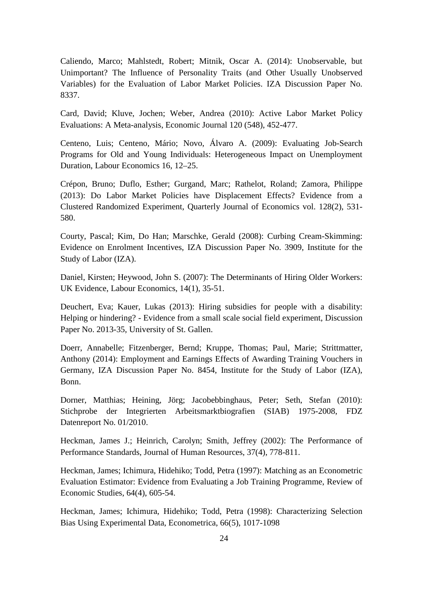Caliendo, Marco; Mahlstedt, Robert; Mitnik, Oscar A. (2014): Unobservable, but Unimportant? The Influence of Personality Traits (and Other Usually Unobserved Variables) for the Evaluation of Labor Market Policies. IZA Discussion Paper No. 8337.

Card, David; Kluve, Jochen; Weber, Andrea (2010): Active Labor Market Policy Evaluations: A Meta-analysis, Economic Journal 120 (548), 452-477.

Centeno, Luis; Centeno, Mário; Novo, Álvaro A. (2009): Evaluating Job-Search Programs for Old and Young Individuals: Heterogeneous Impact on Unemployment Duration, Labour Economics 16, 12–25.

Crépon, Bruno; Duflo, Esther; Gurgand, Marc; Rathelot, Roland; Zamora, Philippe (2013): Do Labor Market Policies have Displacement Effects? Evidence from a Clustered Randomized Experiment, Quarterly Journal of Economics vol. 128(2), 531- 580.

Courty, Pascal; Kim, Do Han; Marschke, Gerald (2008): Curbing Cream-Skimming: Evidence on Enrolment Incentives, IZA Discussion Paper No. 3909, Institute for the Study of Labor (IZA).

Daniel, Kirsten; Heywood, John S. (2007): The Determinants of Hiring Older Workers: UK Evidence, Labour Economics, 14(1), 35-51.

Deuchert, Eva; Kauer, Lukas (2013): Hiring subsidies for people with a disability: Helping or hindering? - Evidence from a small scale social field experiment, Discussion Paper No. 2013-35, University of St. Gallen.

Doerr, Annabelle; Fitzenberger, Bernd; Kruppe, Thomas; Paul, Marie; Strittmatter, Anthony (2014): Employment and Earnings Effects of Awarding Training Vouchers in Germany, IZA Discussion Paper No. 8454, Institute for the Study of Labor (IZA), Bonn.

Dorner, Matthias; Heining, Jörg; Jacobebbinghaus, Peter; Seth, Stefan (2010): Stichprobe der Integrierten Arbeitsmarktbiografien (SIAB) 1975-2008, FDZ Datenreport No. 01/2010.

Heckman, James J.; Heinrich, Carolyn; Smith, Jeffrey (2002): The Performance of Performance Standards, Journal of Human Resources, 37(4), 778-811.

Heckman, James; Ichimura, Hidehiko; Todd, Petra (1997): Matching as an Econometric Evaluation Estimator: Evidence from Evaluating a Job Training Programme, Review of Economic Studies, 64(4), 605-54.

Heckman, James; Ichimura, Hidehiko; Todd, Petra (1998): Characterizing Selection Bias Using Experimental Data, Econometrica, 66(5), 1017-1098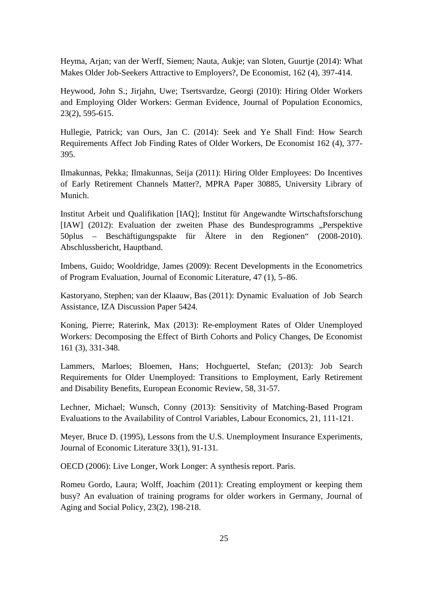Heyma, Arjan; van der Werff, Siemen; Nauta, Aukje; van Sloten, Guurtje (2014): What Makes Older Job-Seekers Attractive to Employers?, De Economist, 162 (4), 397-414.

Heywood, John S.; Jirjahn, Uwe; Tsertsvardze, Georgi (2010): Hiring Older Workers and Employing Older Workers: German Evidence, Journal of Population Economics, 23(2), 595-615.

Hullegie, Patrick; van Ours, Jan C. (2014): Seek and Ye Shall Find: How Search Requirements Affect Job Finding Rates of Older Workers, De Economist 162 (4), 377- 395.

Ilmakunnas, Pekka; Ilmakunnas, Seija (2011): Hiring Older Employees: Do Incentives of Early Retirement Channels Matter?, MPRA Paper 30885, University Library of Munich.

Institut Arbeit und Qualifikation [IAQ]; Institut für Angewandte Wirtschaftsforschung [IAW] (2012): Evaluation der zweiten Phase des Bundesprogramms "Perspektive 50plus – Beschäftigungspakte für Ältere in den Regionen" (2008-2010). Abschlussbericht, Hauptband.

Imbens, Guido; Wooldridge, James (2009): Recent Developments in the Econometrics of Program Evaluation, Journal of Economic Literature, 47 (1), 5–86.

Kastoryano, Stephen; van der Klaauw, Bas (2011): Dynamic Evaluation of Job Search Assistance, IZA Discussion Paper 5424.

Koning, Pierre; Raterink, Max (2013): Re-employment Rates of Older Unemployed Workers: Decomposing the Effect of Birth Cohorts and Policy Changes, De Economist 161 (3), 331-348.

Lammers, Marloes; Bloemen, Hans; Hochguertel, Stefan; (2013): Job Search Requirements for Older Unemployed: Transitions to Employment, Early Retirement and Disability Benefits, European Economic Review, 58, 31-57.

Lechner, Michael; Wunsch, Conny (2013): Sensitivity of Matching-Based Program Evaluations to the Availability of Control Variables, Labour Economics, 21, 111-121.

Meyer, Bruce D. (1995), Lessons from the U.S. Unemployment Insurance Experiments, Journal of Economic Literature 33(1), 91-131.

OECD (2006): Live Longer, Work Longer: A synthesis report. Paris.

Romeu Gordo, Laura; Wolff, Joachim (2011): Creating employment or keeping them busy? An evaluation of training programs for older workers in Germany, Journal of Aging and Social Policy, 23(2), 198-218.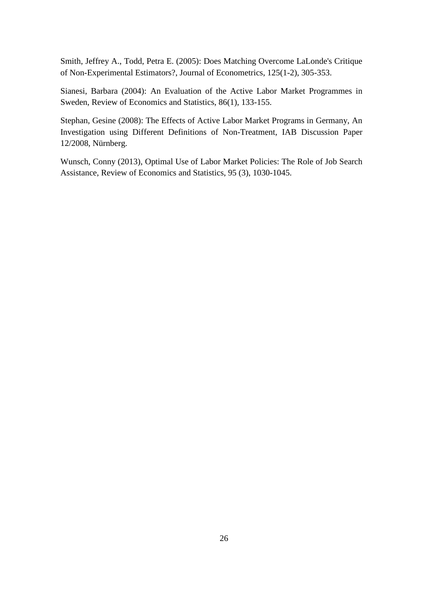Smith, Jeffrey A., Todd, Petra E. (2005): Does Matching Overcome LaLonde's Critique of Non-Experimental Estimators?, Journal of Econometrics, 125(1-2), 305-353.

Sianesi, Barbara (2004): An Evaluation of the Active Labor Market Programmes in Sweden, Review of Economics and Statistics, 86(1), 133-155.

Stephan, Gesine (2008): The Effects of Active Labor Market Programs in Germany, An Investigation using Different Definitions of Non-Treatment, IAB Discussion Paper 12/2008, Nürnberg.

Wunsch, Conny (2013), Optimal Use of Labor Market Policies: The Role of Job Search Assistance, Review of Economics and Statistics, 95 (3), 1030-1045.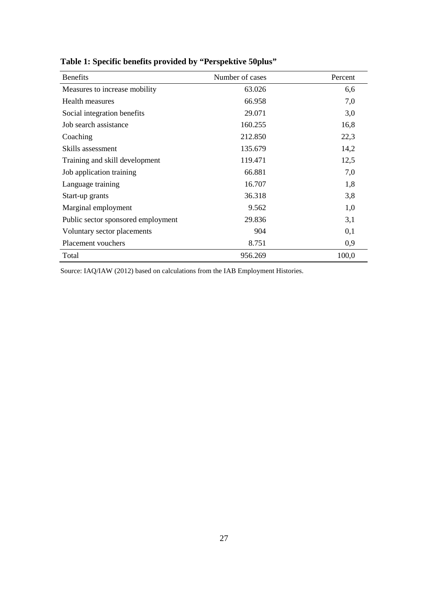| <b>Benefits</b>                    | Number of cases | Percent |
|------------------------------------|-----------------|---------|
| Measures to increase mobility      | 63.026          | 6,6     |
| Health measures                    | 66.958          | 7,0     |
| Social integration benefits        | 29.071          | 3,0     |
| Job search assistance              | 160.255         | 16,8    |
| Coaching                           | 212.850         | 22,3    |
| Skills assessment                  | 135.679         | 14,2    |
| Training and skill development     | 119.471         | 12,5    |
| Job application training           | 66.881          | 7,0     |
| Language training                  | 16.707          | 1,8     |
| Start-up grants                    | 36.318          | 3,8     |
| Marginal employment                | 9.562           | 1,0     |
| Public sector sponsored employment | 29.836          | 3,1     |
| Voluntary sector placements        | 904             | 0,1     |
| Placement vouchers                 | 8.751           | 0,9     |
| Total                              | 956.269         | 100,0   |

**Table 1: Specific benefits provided by "Perspektive 50plus"**

Source: IAQ/IAW (2012) based on calculations from the IAB Employment Histories.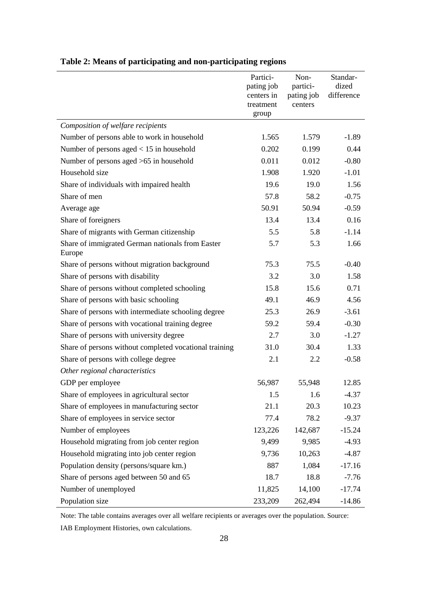|                                                            | Partici-<br>pating job<br>centers in<br>treatment<br>group | Non-<br>partici-<br>pating job<br>centers | Standar-<br>dized<br>difference |
|------------------------------------------------------------|------------------------------------------------------------|-------------------------------------------|---------------------------------|
| Composition of welfare recipients                          |                                                            |                                           |                                 |
| Number of persons able to work in household                | 1.565                                                      | 1.579                                     | $-1.89$                         |
| Number of persons aged $< 15$ in household                 | 0.202                                                      | 0.199                                     | 0.44                            |
| Number of persons aged >65 in household                    | 0.011                                                      | 0.012                                     | $-0.80$                         |
| Household size                                             | 1.908                                                      | 1.920                                     | $-1.01$                         |
| Share of individuals with impaired health                  | 19.6                                                       | 19.0                                      | 1.56                            |
| Share of men                                               | 57.8                                                       | 58.2                                      | $-0.75$                         |
| Average age                                                | 50.91                                                      | 50.94                                     | $-0.59$                         |
| Share of foreigners                                        | 13.4                                                       | 13.4                                      | 0.16                            |
| Share of migrants with German citizenship                  | 5.5                                                        | 5.8                                       | $-1.14$                         |
| Share of immigrated German nationals from Easter<br>Europe | 5.7                                                        | 5.3                                       | 1.66                            |
| Share of persons without migration background              | 75.3                                                       | 75.5                                      | $-0.40$                         |
| Share of persons with disability                           | 3.2                                                        | 3.0                                       | 1.58                            |
| Share of persons without completed schooling               | 15.8                                                       | 15.6                                      | 0.71                            |
| Share of persons with basic schooling                      | 49.1                                                       | 46.9                                      | 4.56                            |
| Share of persons with intermediate schooling degree        | 25.3                                                       | 26.9                                      | $-3.61$                         |
| Share of persons with vocational training degree           | 59.2                                                       | 59.4                                      | $-0.30$                         |
| Share of persons with university degree                    | 2.7                                                        | 3.0                                       | $-1.27$                         |
| Share of persons without completed vocational training     | 31.0                                                       | 30.4                                      | 1.33                            |
| Share of persons with college degree                       | 2.1                                                        | 2.2                                       | $-0.58$                         |
| Other regional characteristics                             |                                                            |                                           |                                 |
| GDP per employee                                           | 56,987                                                     | 55,948                                    | 12.85                           |
| Share of employees in agricultural sector                  | 1.5                                                        | 1.6                                       | $-4.37$                         |
| Share of employees in manufacturing sector                 | 21.1                                                       | 20.3                                      | 10.23                           |
| Share of employees in service sector                       | 77.4                                                       | 78.2                                      | $-9.37$                         |
| Number of employees                                        | 123,226                                                    | 142,687                                   | $-15.24$                        |
| Household migrating from job center region                 | 9,499                                                      | 9,985                                     | $-4.93$                         |
| Household migrating into job center region                 | 9,736                                                      | 10,263                                    | $-4.87$                         |
| Population density (persons/square km.)                    | 887                                                        | 1,084                                     | $-17.16$                        |
| Share of persons aged between 50 and 65                    | 18.7                                                       | 18.8                                      | $-7.76$                         |
| Number of unemployed                                       | 11,825                                                     | 14,100                                    | $-17.74$                        |
| Population size                                            | 233,209                                                    | 262,494                                   | $-14.86$                        |

# **Table 2: Means of participating and non-participating regions**

Note: The table contains averages over all welfare recipients or averages over the population. Source:

IAB Employment Histories, own calculations.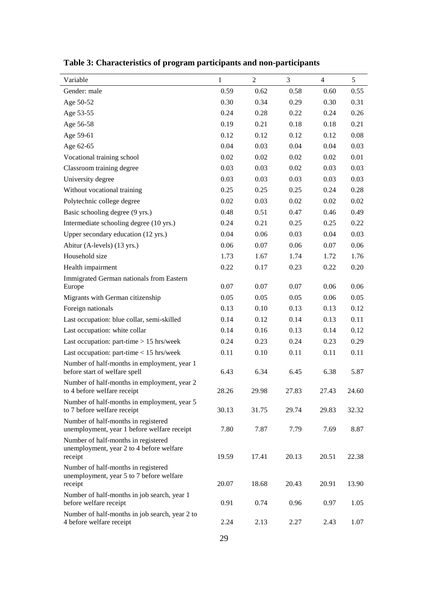| Variable                                                                                   | 1            | $\overline{2}$ | 3     | $\overline{4}$ | 5     |
|--------------------------------------------------------------------------------------------|--------------|----------------|-------|----------------|-------|
| Gender: male                                                                               | 0.59         | 0.62           | 0.58  | 0.60           | 0.55  |
| Age 50-52                                                                                  | 0.30         | 0.34           | 0.29  | 0.30           | 0.31  |
| Age 53-55                                                                                  | 0.24         | 0.28           | 0.22  | 0.24           | 0.26  |
| Age 56-58                                                                                  | 0.19         | 0.21           | 0.18  | 0.18           | 0.21  |
| Age 59-61                                                                                  | 0.12         | 0.12           | 0.12  | 0.12           | 0.08  |
| Age 62-65                                                                                  | 0.04         | 0.03           | 0.04  | 0.04           | 0.03  |
| Vocational training school                                                                 | 0.02         | 0.02           | 0.02  | 0.02           | 0.01  |
| Classroom training degree                                                                  | 0.03         | 0.03           | 0.02  | 0.03           | 0.03  |
| University degree                                                                          | 0.03         | 0.03           | 0.03  | 0.03           | 0.03  |
| Without vocational training                                                                | 0.25         | 0.25           | 0.25  | 0.24           | 0.28  |
| Polytechnic college degree                                                                 | 0.02         | 0.03           | 0.02  | 0.02           | 0.02  |
| Basic schooling degree (9 yrs.)                                                            | 0.48         | 0.51           | 0.47  | 0.46           | 0.49  |
| Intermediate schooling degree (10 yrs.)                                                    | 0.24         | 0.21           | 0.25  | 0.25           | 0.22  |
| Upper secondary education (12 yrs.)                                                        | 0.04         | 0.06           | 0.03  | 0.04           | 0.03  |
| Abitur (A-levels) (13 yrs.)                                                                | 0.06         | 0.07           | 0.06  | 0.07           | 0.06  |
| Household size                                                                             | 1.73         | 1.67           | 1.74  | 1.72           | 1.76  |
| Health impairment                                                                          | 0.22         | 0.17           | 0.23  | 0.22           | 0.20  |
| Immigrated German nationals from Eastern<br>Europe                                         | 0.07         | 0.07           | 0.07  | 0.06           | 0.06  |
| Migrants with German citizenship                                                           | 0.05         | 0.05           | 0.05  | 0.06           | 0.05  |
| Foreign nationals                                                                          | 0.13         | 0.10           | 0.13  | 0.13           | 0.12  |
| Last occupation: blue collar, semi-skilled                                                 | 0.14         | 0.12           | 0.14  | 0.13           | 0.11  |
| Last occupation: white collar                                                              | 0.14         | 0.16           | 0.13  | 0.14           | 0.12  |
| Last occupation: part-time $> 15$ hrs/week                                                 | 0.24         | 0.23           | 0.24  | 0.23           | 0.29  |
| Last occupation: part-time $< 15$ hrs/week                                                 | 0.11         | 0.10           | 0.11  | 0.11           | 0.11  |
| Number of half-months in employment, year 1                                                |              |                |       |                |       |
| before start of welfare spell                                                              | 6.43         | 6.34           | 6.45  | 6.38           | 5.87  |
| Number of half-months in employment, year 2<br>to 4 before welfare receipt                 | 28.26        | 29.98          | 27.83 | 27.43          | 24.60 |
| Number of half-months in employment, year 5<br>to 7 before welfare receipt                 | 30.13        | 31.75          | 29.74 | 29.83          | 32.32 |
| Number of half-months in registered<br>unemployment, year 1 before welfare receipt         | 7.80         | 7.87           | 7.79  | 7.69           | 8.87  |
| Number of half-months in registered<br>unemployment, year 2 to 4 before welfare<br>receipt | 19.59        | 17.41          | 20.13 | 20.51          | 22.38 |
| Number of half-months in registered<br>unemployment, year 5 to 7 before welfare<br>receipt | 20.07        | 18.68          | 20.43 | 20.91          | 13.90 |
| Number of half-months in job search, year 1<br>before welfare receipt                      | 0.91         | 0.74           | 0.96  | 0.97           | 1.05  |
| Number of half-months in job search, year 2 to<br>4 before welfare receipt                 | 2.24         | 2.13           | 2.27  | 2.43           | 1.07  |
|                                                                                            | $\mathbf{A}$ |                |       |                |       |

**Table 3: Characteristics of program participants and non-participants**

29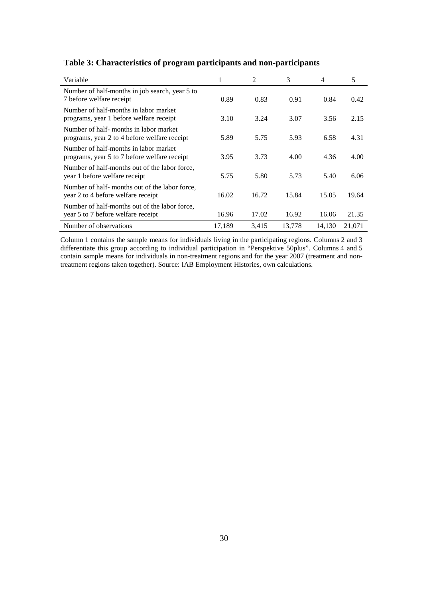| Variable                                                                              | 1      | 2     | 3      | 4      | 5      |
|---------------------------------------------------------------------------------------|--------|-------|--------|--------|--------|
| Number of half-months in job search, year 5 to<br>7 before welfare receipt            | 0.89   | 0.83  | 0.91   | 0.84   | 0.42   |
| Number of half-months in labor market<br>programs, year 1 before welfare receipt      | 3.10   | 3.24  | 3.07   | 3.56   | 2.15   |
| Number of half-months in labor market<br>programs, year 2 to 4 before welfare receipt | 5.89   | 5.75  | 5.93   | 6.58   | 4.31   |
| Number of half-months in labor market<br>programs, year 5 to 7 before welfare receipt | 3.95   | 3.73  | 4.00   | 4.36   | 4.00   |
| Number of half-months out of the labor force,<br>year 1 before welfare receipt        | 5.75   | 5.80  | 5.73   | 5.40   | 6.06   |
| Number of half- months out of the labor force,<br>year 2 to 4 before welfare receipt  | 16.02  | 16.72 | 15.84  | 15.05  | 19.64  |
| Number of half-months out of the labor force,<br>year 5 to 7 before welfare receipt   | 16.96  | 17.02 | 16.92  | 16.06  | 21.35  |
| Number of observations                                                                | 17,189 | 3,415 | 13,778 | 14,130 | 21,071 |

#### **Table 3: Characteristics of program participants and non-participants**

Column 1 contains the sample means for individuals living in the participating regions. Columns 2 and 3 differentiate this group according to individual participation in "Perspektive 50plus". Columns 4 and 5 contain sample means for individuals in non-treatment regions and for the year 2007 (treatment and nontreatment regions taken together). Source: IAB Employment Histories, own calculations.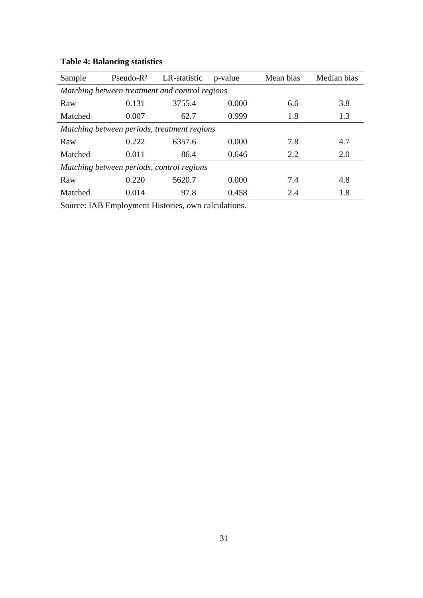| Sample                                         | $Pseudo-R2$ | LR-statistic | p-value | Mean bias | Median bias |  |  |  |  |  |  |
|------------------------------------------------|-------------|--------------|---------|-----------|-------------|--|--|--|--|--|--|
| Matching between treatment and control regions |             |              |         |           |             |  |  |  |  |  |  |
| Raw                                            | 0.131       | 3755.4       | 0.000   | 6.6       | 3.8         |  |  |  |  |  |  |
| Matched                                        | 0.007       | 62.7         | 0.999   | 1.8       | 1.3         |  |  |  |  |  |  |
| Matching between periods, treatment regions    |             |              |         |           |             |  |  |  |  |  |  |
| Raw                                            | 0.222       | 6357.6       | 0.000   | 7.8       | 4.7         |  |  |  |  |  |  |
| Matched                                        | 0.011       | 86.4         | 0.646   | 2.2       | 2.0         |  |  |  |  |  |  |
| Matching between periods, control regions      |             |              |         |           |             |  |  |  |  |  |  |
| Raw                                            | 0.220       | 5620.7       | 0.000   | 7.4       | 4.8         |  |  |  |  |  |  |
| Matched                                        | 0.014       | 97.8         | 0.458   | 2.4       | 1.8         |  |  |  |  |  |  |

# **Table 4: Balancing statistics**

Source: IAB Employment Histories, own calculations.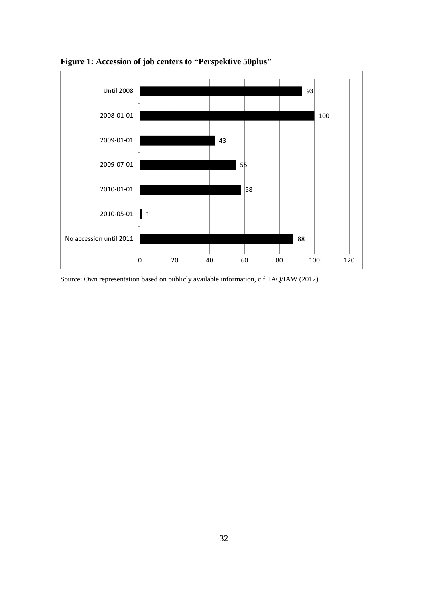

**Figure 1: Accession of job centers to "Perspektive 50plus"**

Source: Own representation based on publicly available information, c.f. IAQ/IAW (2012).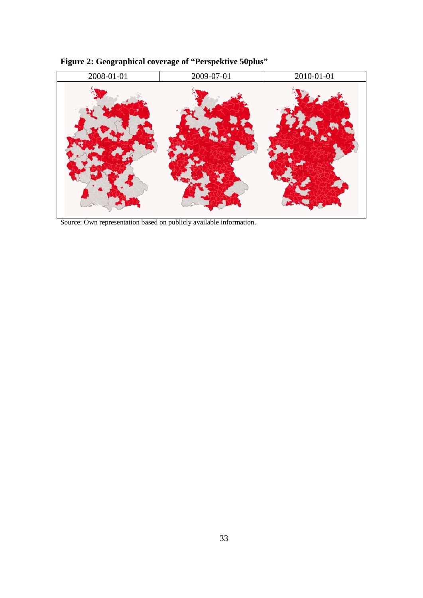

**Figure 2: Geographical coverage of "Perspektive 50plus"**

Source: Own representation based on publicly available information.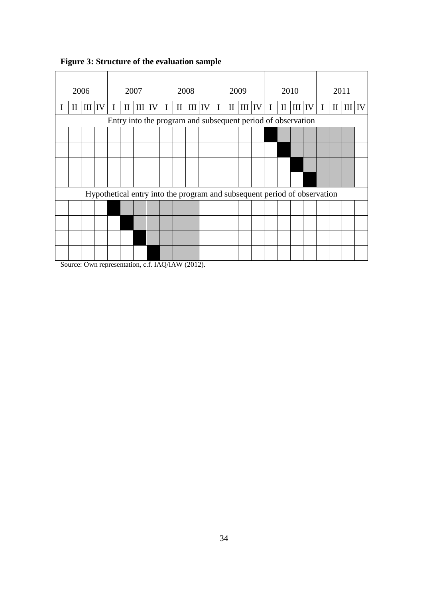|                                                             |  | 2006 |  |  |  | 2007                                                                                                                                                                                                                                                                                                                                                                                                                                                                       |  |  | 2008<br>2009 |  |  | 2010 |                                    |  |  | 2011 |                                                 |  |  |                                               |  |
|-------------------------------------------------------------|--|------|--|--|--|----------------------------------------------------------------------------------------------------------------------------------------------------------------------------------------------------------------------------------------------------------------------------------------------------------------------------------------------------------------------------------------------------------------------------------------------------------------------------|--|--|--------------|--|--|------|------------------------------------|--|--|------|-------------------------------------------------|--|--|-----------------------------------------------|--|
| I                                                           |  |      |  |  |  | $\frac{1}{2} \left  \frac{1}{2} \right  \left  \frac{1}{2} \right  \left  \frac{1}{2} \right  \left  \frac{1}{2} \right  \left  \frac{1}{2} \right  \left  \frac{1}{2} \right  \left  \frac{1}{2} \right  \left  \frac{1}{2} \right  \left  \frac{1}{2} \right  \left  \frac{1}{2} \right  \left  \frac{1}{2} \right  \left  \frac{1}{2} \right  \left  \frac{1}{2} \right  \left  \frac{1}{2} \right  \left  \frac{1}{2} \right  \left  \frac{1}{2} \right  \left  \frac$ |  |  |              |  |  |      | $\vert III \vert IV \vert I \vert$ |  |  |      | $\text{II}$ $\text{III}$ $\text{IV}$ $\text{I}$ |  |  | $\parallel$ II $\parallel$ III $\parallel$ IV |  |
| Entry into the program and subsequent period of observation |  |      |  |  |  |                                                                                                                                                                                                                                                                                                                                                                                                                                                                            |  |  |              |  |  |      |                                    |  |  |      |                                                 |  |  |                                               |  |
|                                                             |  |      |  |  |  |                                                                                                                                                                                                                                                                                                                                                                                                                                                                            |  |  |              |  |  |      |                                    |  |  |      |                                                 |  |  |                                               |  |
|                                                             |  |      |  |  |  |                                                                                                                                                                                                                                                                                                                                                                                                                                                                            |  |  |              |  |  |      |                                    |  |  |      |                                                 |  |  |                                               |  |
|                                                             |  |      |  |  |  |                                                                                                                                                                                                                                                                                                                                                                                                                                                                            |  |  |              |  |  |      |                                    |  |  |      |                                                 |  |  |                                               |  |
|                                                             |  |      |  |  |  |                                                                                                                                                                                                                                                                                                                                                                                                                                                                            |  |  |              |  |  |      |                                    |  |  |      |                                                 |  |  |                                               |  |
|                                                             |  |      |  |  |  | Hypothetical entry into the program and subsequent period of observation                                                                                                                                                                                                                                                                                                                                                                                                   |  |  |              |  |  |      |                                    |  |  |      |                                                 |  |  |                                               |  |
|                                                             |  |      |  |  |  |                                                                                                                                                                                                                                                                                                                                                                                                                                                                            |  |  |              |  |  |      |                                    |  |  |      |                                                 |  |  |                                               |  |
|                                                             |  |      |  |  |  |                                                                                                                                                                                                                                                                                                                                                                                                                                                                            |  |  |              |  |  |      |                                    |  |  |      |                                                 |  |  |                                               |  |
|                                                             |  |      |  |  |  |                                                                                                                                                                                                                                                                                                                                                                                                                                                                            |  |  |              |  |  |      |                                    |  |  |      |                                                 |  |  |                                               |  |
|                                                             |  |      |  |  |  |                                                                                                                                                                                                                                                                                                                                                                                                                                                                            |  |  |              |  |  |      |                                    |  |  |      |                                                 |  |  |                                               |  |

# **Figure 3: Structure of the evaluation sample**

Source: Own representation, c.f. IAQ/IAW (2012).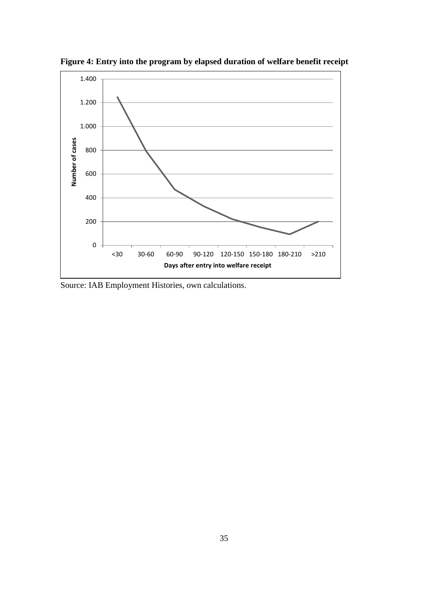

**Figure 4: Entry into the program by elapsed duration of welfare benefit receipt**

Source: IAB Employment Histories, own calculations.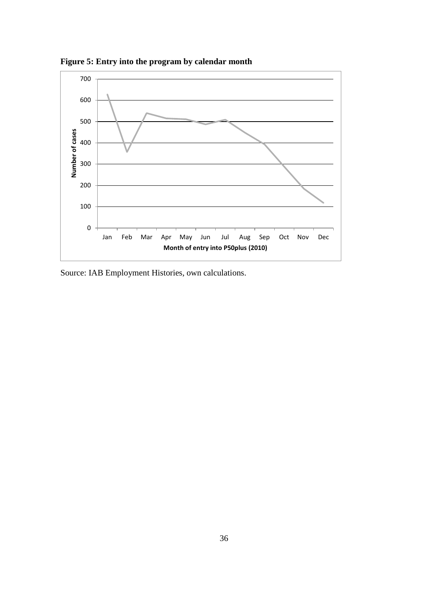

**Figure 5: Entry into the program by calendar month**

Source: IAB Employment Histories, own calculations.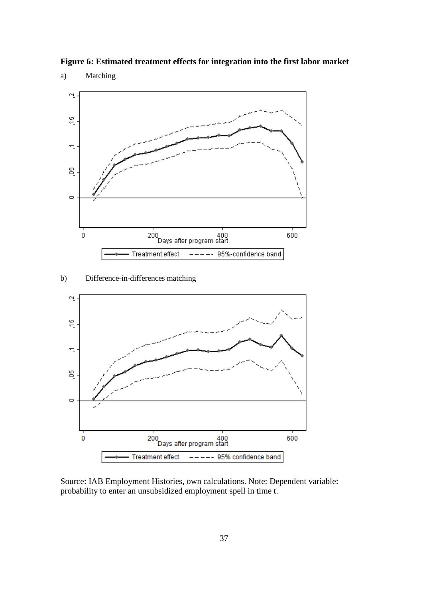



a) Matching



Source: IAB Employment Histories, own calculations. Note: Dependent variable: probability to enter an unsubsidized employment spell in time t.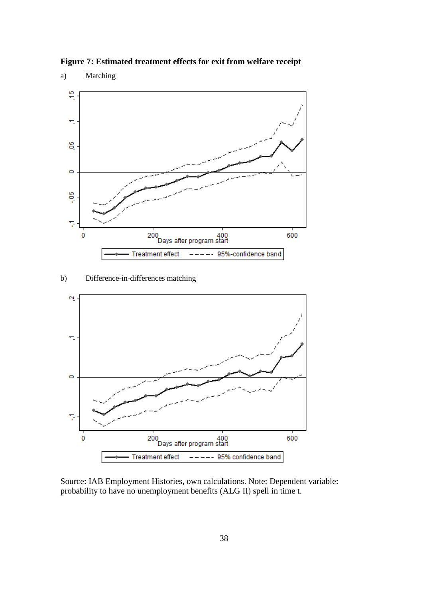

**Figure 7: Estimated treatment effects for exit from welfare receipt**

b) Difference-in-differences matching



Source: IAB Employment Histories, own calculations. Note: Dependent variable: probability to have no unemployment benefits (ALG II) spell in time t.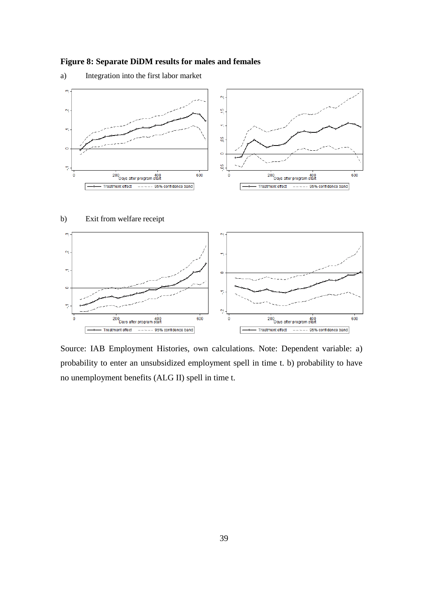## **Figure 8: Separate DiDM results for males and females**





b) Exit from welfare receipt



Source: IAB Employment Histories, own calculations. Note: Dependent variable: a) probability to enter an unsubsidized employment spell in time t. b) probability to have no unemployment benefits (ALG II) spell in time t.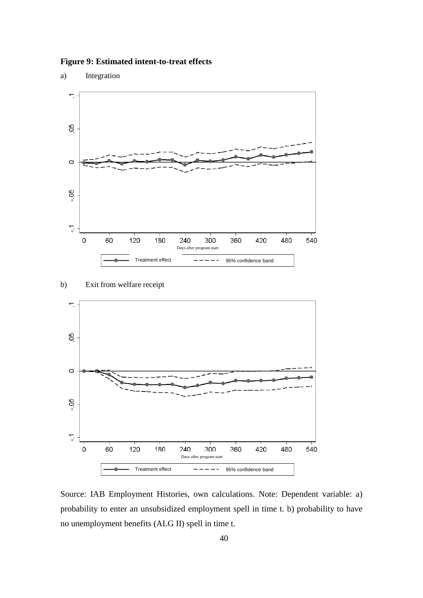**Figure 9: Estimated intent-to-treat effects** 

a) Integration



b) Exit from welfare receipt



Source: IAB Employment Histories, own calculations. Note: Dependent variable: a) probability to enter an unsubsidized employment spell in time t. b) probability to have no unemployment benefits (ALG II) spell in time t.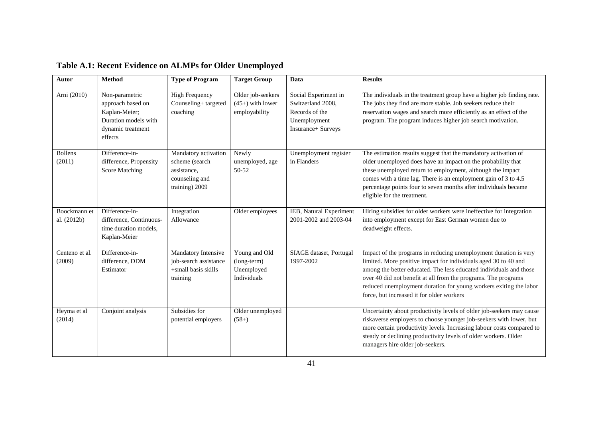| <b>Autor</b>                | <b>Method</b>                                                                                                | <b>Type of Program</b>                                                                    | <b>Target Group</b>                                       | Data                                                                                              | <b>Results</b>                                                                                                                                                                                                                                                                                                                                                                                |
|-----------------------------|--------------------------------------------------------------------------------------------------------------|-------------------------------------------------------------------------------------------|-----------------------------------------------------------|---------------------------------------------------------------------------------------------------|-----------------------------------------------------------------------------------------------------------------------------------------------------------------------------------------------------------------------------------------------------------------------------------------------------------------------------------------------------------------------------------------------|
| Arni (2010)                 | Non-parametric<br>approach based on<br>Kaplan-Meier;<br>Duration models with<br>dynamic treatment<br>effects | <b>High Frequency</b><br>Counseling+ targeted<br>coaching                                 | Older job-seekers<br>$(45+)$ with lower<br>employability  | Social Experiment in<br>Switzerland 2008,<br>Records of the<br>Unemployment<br>Insurance+ Surveys | The individuals in the treatment group have a higher job finding rate.<br>The jobs they find are more stable. Job seekers reduce their<br>reservation wages and search more efficiently as an effect of the<br>program. The program induces higher job search motivation.                                                                                                                     |
| <b>Bollens</b><br>(2011)    | Difference-in-<br>difference, Propensity<br><b>Score Matching</b>                                            | Mandatory activation<br>scheme (search<br>assistance,<br>counseling and<br>training) 2009 | Newly<br>unemployed, age<br>50-52                         | Unemployment register<br>in Flanders                                                              | The estimation results suggest that the mandatory activation of<br>older unemployed does have an impact on the probability that<br>these unemployed return to employment, although the impact<br>comes with a time lag. There is an employment gain of 3 to 4.5<br>percentage points four to seven months after individuals became<br>eligible for the treatment.                             |
| Boockmann et<br>al. (2012b) | Difference-in-<br>difference, Continuous-<br>time duration models,<br>Kaplan-Meier                           | Integration<br>Allowance                                                                  | Older employees                                           | IEB, Natural Experiment<br>2001-2002 and 2003-04                                                  | Hiring subsidies for older workers were ineffective for integration<br>into employment except for East German women due to<br>deadweight effects.                                                                                                                                                                                                                                             |
| Centeno et al.<br>(2009)    | Difference-in-<br>difference, DDM<br>Estimator                                                               | Mandatory Intensive<br>job-search assistance<br>+small basis skills<br>training           | Young and Old<br>(long-term)<br>Unemployed<br>Individuals | SIAGE dataset, Portugal<br>1997-2002                                                              | Impact of the programs in reducing unemployment duration is very<br>limited. More positive impact for individuals aged 30 to 40 and<br>among the better educated. The less educated individuals and those<br>over 40 did not benefit at all from the programs. The programs<br>reduced unemployment duration for young workers exiting the labor<br>force, but increased it for older workers |
| Heyma et al<br>(2014)       | Conjoint analysis                                                                                            | Subsidies for<br>potential employers                                                      | Older unemployed<br>$(58+)$                               |                                                                                                   | Uncertainty about productivity levels of older job-seekers may cause<br>riskaverse employers to choose younger job-seekers with lower, but<br>more certain productivity levels. Increasing labour costs compared to<br>steady or declining productivity levels of older workers. Older<br>managers hire older job-seekers.                                                                    |

# **Table A.1: Recent Evidence on ALMPs for Older Unemployed**